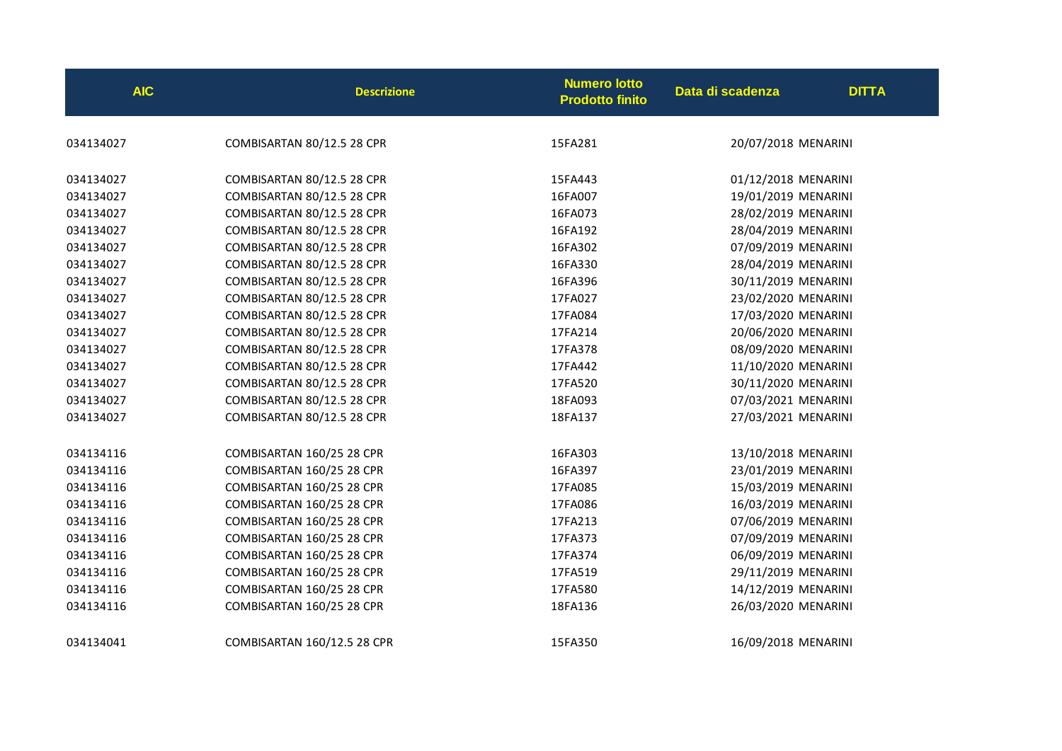| <b>AIC</b> | <b>Descrizione</b>          | <b>Numero lotto</b><br><b>Prodotto finito</b> | Data di scadenza    | <b>DITTA</b> |
|------------|-----------------------------|-----------------------------------------------|---------------------|--------------|
| 034134027  | COMBISARTAN 80/12.5 28 CPR  | 15FA281                                       | 20/07/2018 MENARINI |              |
| 034134027  | COMBISARTAN 80/12.5 28 CPR  | 15FA443                                       | 01/12/2018 MENARINI |              |
| 034134027  | COMBISARTAN 80/12.5 28 CPR  | 16FA007                                       | 19/01/2019 MENARINI |              |
| 034134027  | COMBISARTAN 80/12.5 28 CPR  | 16FA073                                       | 28/02/2019 MENARINI |              |
| 034134027  | COMBISARTAN 80/12.5 28 CPR  | 16FA192                                       | 28/04/2019 MENARINI |              |
| 034134027  | COMBISARTAN 80/12.5 28 CPR  | 16FA302                                       | 07/09/2019 MENARINI |              |
| 034134027  | COMBISARTAN 80/12.5 28 CPR  | 16FA330                                       | 28/04/2019 MENARINI |              |
| 034134027  | COMBISARTAN 80/12.5 28 CPR  | 16FA396                                       | 30/11/2019 MENARINI |              |
| 034134027  | COMBISARTAN 80/12.5 28 CPR  | 17FA027                                       | 23/02/2020 MENARINI |              |
| 034134027  | COMBISARTAN 80/12.5 28 CPR  | 17FA084                                       | 17/03/2020 MENARINI |              |
| 034134027  | COMBISARTAN 80/12.5 28 CPR  | 17FA214                                       | 20/06/2020 MENARINI |              |
| 034134027  | COMBISARTAN 80/12.5 28 CPR  | 17FA378                                       | 08/09/2020 MENARINI |              |
| 034134027  | COMBISARTAN 80/12.5 28 CPR  | 17FA442                                       | 11/10/2020 MENARINI |              |
| 034134027  | COMBISARTAN 80/12.5 28 CPR  | 17FA520                                       | 30/11/2020 MENARINI |              |
| 034134027  | COMBISARTAN 80/12.5 28 CPR  | 18FA093                                       | 07/03/2021 MENARINI |              |
| 034134027  | COMBISARTAN 80/12.5 28 CPR  | 18FA137                                       | 27/03/2021 MENARINI |              |
| 034134116  | COMBISARTAN 160/25 28 CPR   | 16FA303                                       | 13/10/2018 MENARINI |              |
| 034134116  | COMBISARTAN 160/25 28 CPR   | 16FA397                                       | 23/01/2019 MENARINI |              |
| 034134116  | COMBISARTAN 160/25 28 CPR   | 17FA085                                       | 15/03/2019 MENARINI |              |
| 034134116  | COMBISARTAN 160/25 28 CPR   | 17FA086                                       | 16/03/2019 MENARINI |              |
| 034134116  | COMBISARTAN 160/25 28 CPR   | 17FA213                                       | 07/06/2019 MENARINI |              |
| 034134116  | COMBISARTAN 160/25 28 CPR   | 17FA373                                       | 07/09/2019 MENARINI |              |
| 034134116  | COMBISARTAN 160/25 28 CPR   | 17FA374                                       | 06/09/2019 MENARINI |              |
| 034134116  | COMBISARTAN 160/25 28 CPR   | 17FA519                                       | 29/11/2019 MENARINI |              |
| 034134116  | COMBISARTAN 160/25 28 CPR   | 17FA580                                       | 14/12/2019 MENARINI |              |
| 034134116  | COMBISARTAN 160/25 28 CPR   | 18FA136                                       | 26/03/2020 MENARINI |              |
| 034134041  | COMBISARTAN 160/12.5 28 CPR | 15FA350                                       | 16/09/2018 MENARINI |              |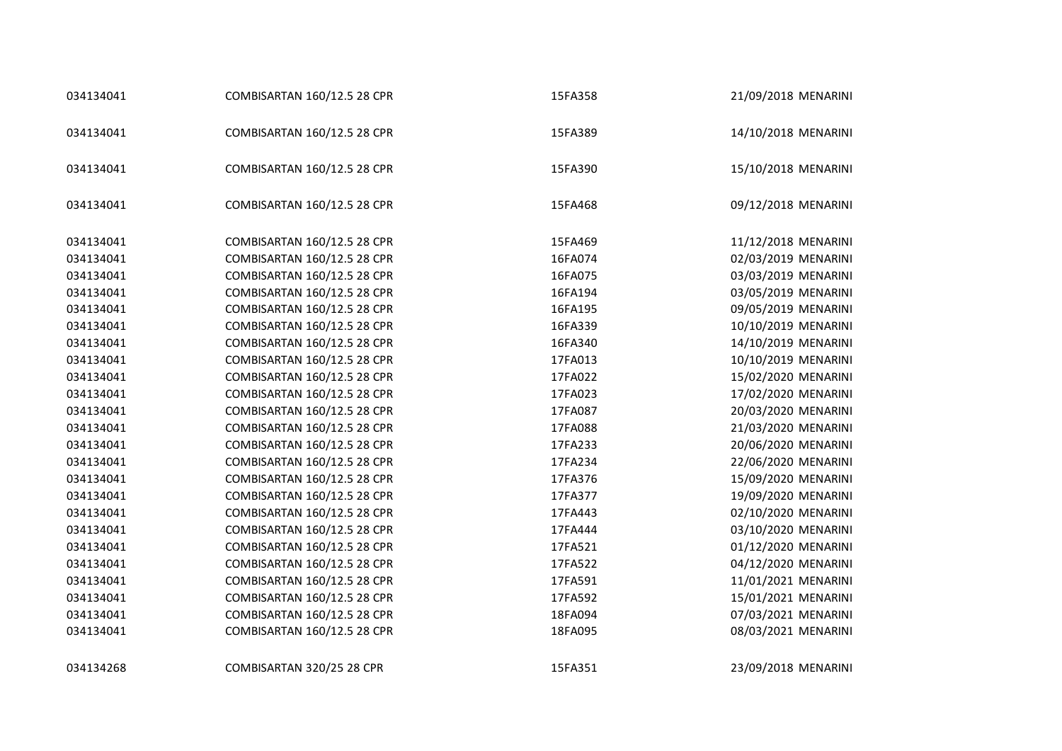| 034134041 | COMBISARTAN 160/12.5 28 CPR | 15FA358 | 21/09/2018 MENARINI |
|-----------|-----------------------------|---------|---------------------|
| 034134041 | COMBISARTAN 160/12.5 28 CPR | 15FA389 | 14/10/2018 MENARINI |
| 034134041 | COMBISARTAN 160/12.5 28 CPR | 15FA390 | 15/10/2018 MENARINI |
| 034134041 | COMBISARTAN 160/12.5 28 CPR | 15FA468 | 09/12/2018 MENARINI |
| 034134041 | COMBISARTAN 160/12.5 28 CPR | 15FA469 | 11/12/2018 MENARINI |
| 034134041 | COMBISARTAN 160/12.5 28 CPR | 16FA074 | 02/03/2019 MENARINI |
| 034134041 | COMBISARTAN 160/12.5 28 CPR | 16FA075 | 03/03/2019 MENARINI |
| 034134041 | COMBISARTAN 160/12.5 28 CPR | 16FA194 | 03/05/2019 MENARINI |
| 034134041 | COMBISARTAN 160/12.5 28 CPR | 16FA195 | 09/05/2019 MENARINI |
| 034134041 | COMBISARTAN 160/12.5 28 CPR | 16FA339 | 10/10/2019 MENARINI |
| 034134041 | COMBISARTAN 160/12.5 28 CPR | 16FA340 | 14/10/2019 MENARINI |
| 034134041 | COMBISARTAN 160/12.5 28 CPR | 17FA013 | 10/10/2019 MENARINI |
| 034134041 | COMBISARTAN 160/12.5 28 CPR | 17FA022 | 15/02/2020 MENARINI |
| 034134041 | COMBISARTAN 160/12.5 28 CPR | 17FA023 | 17/02/2020 MENARINI |
| 034134041 | COMBISARTAN 160/12.5 28 CPR | 17FA087 | 20/03/2020 MENARINI |
| 034134041 | COMBISARTAN 160/12.5 28 CPR | 17FA088 | 21/03/2020 MENARINI |
| 034134041 | COMBISARTAN 160/12.5 28 CPR | 17FA233 | 20/06/2020 MENARINI |
| 034134041 | COMBISARTAN 160/12.5 28 CPR | 17FA234 | 22/06/2020 MENARINI |
| 034134041 | COMBISARTAN 160/12.5 28 CPR | 17FA376 | 15/09/2020 MENARINI |
| 034134041 | COMBISARTAN 160/12.5 28 CPR | 17FA377 | 19/09/2020 MENARINI |
| 034134041 | COMBISARTAN 160/12.5 28 CPR | 17FA443 | 02/10/2020 MENARINI |
| 034134041 | COMBISARTAN 160/12.5 28 CPR | 17FA444 | 03/10/2020 MENARINI |
| 034134041 | COMBISARTAN 160/12.5 28 CPR | 17FA521 | 01/12/2020 MENARINI |
| 034134041 | COMBISARTAN 160/12.5 28 CPR | 17FA522 | 04/12/2020 MENARINI |
| 034134041 | COMBISARTAN 160/12.5 28 CPR | 17FA591 | 11/01/2021 MENARINI |
| 034134041 | COMBISARTAN 160/12.5 28 CPR | 17FA592 | 15/01/2021 MENARINI |
| 034134041 | COMBISARTAN 160/12.5 28 CPR | 18FA094 | 07/03/2021 MENARINI |
| 034134041 | COMBISARTAN 160/12.5 28 CPR | 18FA095 | 08/03/2021 MENARINI |
| 034134268 | COMBISARTAN 320/25 28 CPR   | 15FA351 | 23/09/2018 MENARINI |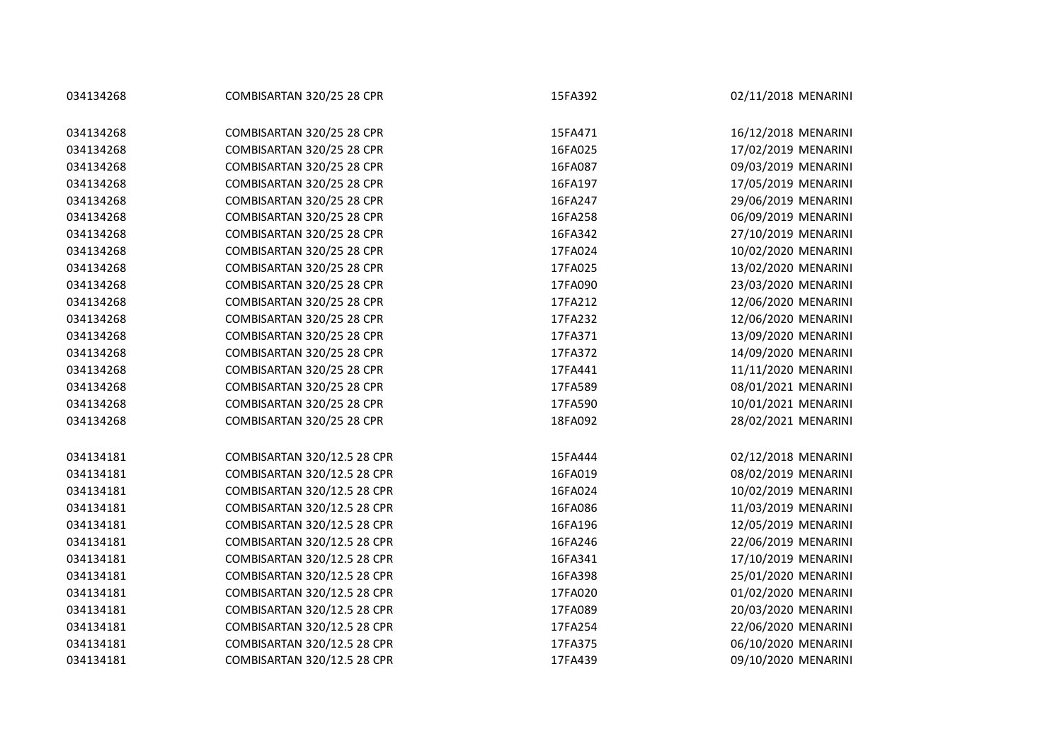| 034134268 | COMBISARTAN 320/25 28 CPR   | 15FA392 | 02/11/2018 MENARINI |
|-----------|-----------------------------|---------|---------------------|
|           |                             |         |                     |
| 034134268 | COMBISARTAN 320/25 28 CPR   | 15FA471 | 16/12/2018 MENARINI |
| 034134268 | COMBISARTAN 320/25 28 CPR   | 16FA025 | 17/02/2019 MENARINI |
| 034134268 | COMBISARTAN 320/25 28 CPR   | 16FA087 | 09/03/2019 MENARINI |
| 034134268 | COMBISARTAN 320/25 28 CPR   | 16FA197 | 17/05/2019 MENARINI |
| 034134268 | COMBISARTAN 320/25 28 CPR   | 16FA247 | 29/06/2019 MENARINI |
| 034134268 | COMBISARTAN 320/25 28 CPR   | 16FA258 | 06/09/2019 MENARINI |
| 034134268 | COMBISARTAN 320/25 28 CPR   | 16FA342 | 27/10/2019 MENARINI |
| 034134268 | COMBISARTAN 320/25 28 CPR   | 17FA024 | 10/02/2020 MENARINI |
| 034134268 | COMBISARTAN 320/25 28 CPR   | 17FA025 | 13/02/2020 MENARINI |
| 034134268 | COMBISARTAN 320/25 28 CPR   | 17FA090 | 23/03/2020 MENARINI |
| 034134268 | COMBISARTAN 320/25 28 CPR   | 17FA212 | 12/06/2020 MENARINI |
| 034134268 | COMBISARTAN 320/25 28 CPR   | 17FA232 | 12/06/2020 MENARINI |
| 034134268 | COMBISARTAN 320/25 28 CPR   | 17FA371 | 13/09/2020 MENARINI |
| 034134268 | COMBISARTAN 320/25 28 CPR   | 17FA372 | 14/09/2020 MENARINI |
| 034134268 | COMBISARTAN 320/25 28 CPR   | 17FA441 | 11/11/2020 MENARINI |
| 034134268 | COMBISARTAN 320/25 28 CPR   | 17FA589 | 08/01/2021 MENARINI |
| 034134268 | COMBISARTAN 320/25 28 CPR   | 17FA590 | 10/01/2021 MENARINI |
| 034134268 | COMBISARTAN 320/25 28 CPR   | 18FA092 | 28/02/2021 MENARINI |
|           |                             |         |                     |
| 034134181 | COMBISARTAN 320/12.5 28 CPR | 15FA444 | 02/12/2018 MENARINI |
| 034134181 | COMBISARTAN 320/12.5 28 CPR | 16FA019 | 08/02/2019 MENARINI |
| 034134181 | COMBISARTAN 320/12.5 28 CPR | 16FA024 | 10/02/2019 MENARINI |
| 034134181 | COMBISARTAN 320/12.5 28 CPR | 16FA086 | 11/03/2019 MENARINI |
| 034134181 | COMBISARTAN 320/12.5 28 CPR | 16FA196 | 12/05/2019 MENARINI |
| 034134181 | COMBISARTAN 320/12.5 28 CPR | 16FA246 | 22/06/2019 MENARINI |
| 034134181 | COMBISARTAN 320/12.5 28 CPR | 16FA341 | 17/10/2019 MENARINI |
| 034134181 | COMBISARTAN 320/12.5 28 CPR | 16FA398 | 25/01/2020 MENARINI |
| 034134181 | COMBISARTAN 320/12.5 28 CPR | 17FA020 | 01/02/2020 MENARINI |
| 034134181 | COMBISARTAN 320/12.5 28 CPR | 17FA089 | 20/03/2020 MENARINI |
| 034134181 | COMBISARTAN 320/12.5 28 CPR | 17FA254 | 22/06/2020 MENARINI |
| 034134181 | COMBISARTAN 320/12.5 28 CPR | 17FA375 | 06/10/2020 MENARINI |
| 034134181 | COMBISARTAN 320/12.5 28 CPR | 17FA439 | 09/10/2020 MENARINI |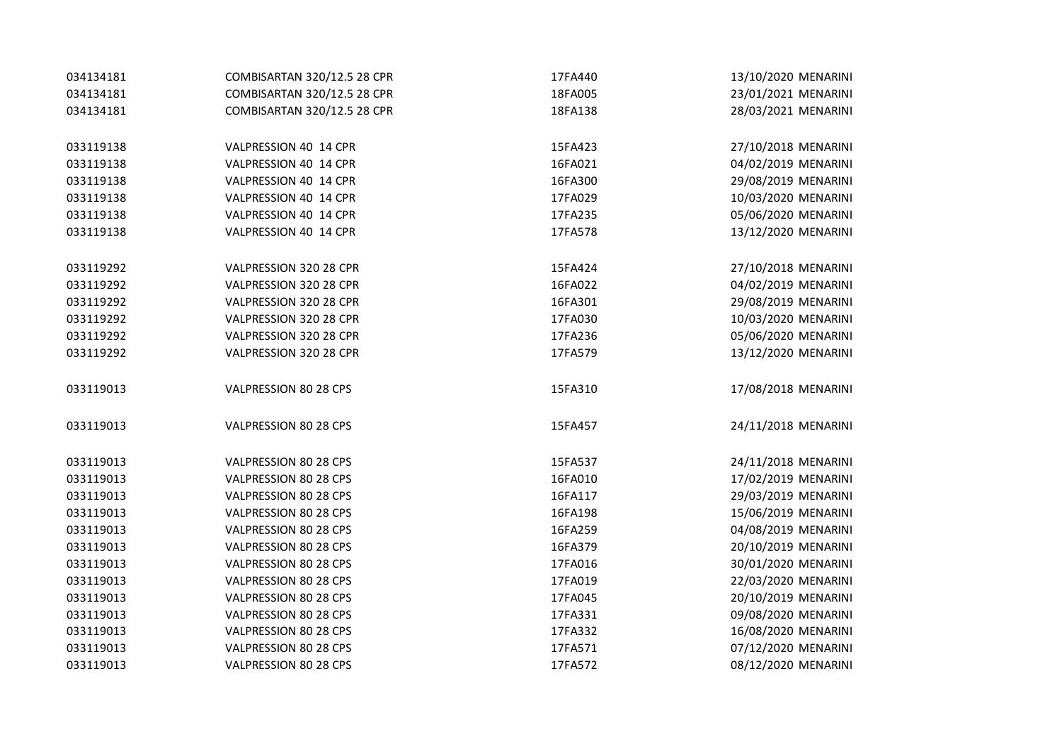| 034134181 | COMBISARTAN 320/12.5 28 CPR | 17FA440 | 13/10/2020 MENARINI |
|-----------|-----------------------------|---------|---------------------|
| 034134181 | COMBISARTAN 320/12.5 28 CPR | 18FA005 | 23/01/2021 MENARINI |
| 034134181 | COMBISARTAN 320/12.5 28 CPR | 18FA138 | 28/03/2021 MENARINI |
| 033119138 | VALPRESSION 40 14 CPR       | 15FA423 | 27/10/2018 MENARINI |
| 033119138 | VALPRESSION 40 14 CPR       | 16FA021 | 04/02/2019 MENARINI |
| 033119138 | VALPRESSION 40 14 CPR       | 16FA300 | 29/08/2019 MENARINI |
| 033119138 | VALPRESSION 40 14 CPR       | 17FA029 | 10/03/2020 MENARINI |
| 033119138 | VALPRESSION 40 14 CPR       | 17FA235 | 05/06/2020 MENARINI |
| 033119138 | VALPRESSION 40 14 CPR       | 17FA578 | 13/12/2020 MENARINI |
| 033119292 | VALPRESSION 320 28 CPR      | 15FA424 | 27/10/2018 MENARINI |
| 033119292 | VALPRESSION 320 28 CPR      | 16FA022 | 04/02/2019 MENARINI |
| 033119292 | VALPRESSION 320 28 CPR      | 16FA301 | 29/08/2019 MENARINI |
| 033119292 | VALPRESSION 320 28 CPR      | 17FA030 | 10/03/2020 MENARINI |
| 033119292 | VALPRESSION 320 28 CPR      | 17FA236 | 05/06/2020 MENARINI |
| 033119292 | VALPRESSION 320 28 CPR      | 17FA579 | 13/12/2020 MENARINI |
| 033119013 | VALPRESSION 80 28 CPS       | 15FA310 | 17/08/2018 MENARINI |
| 033119013 | VALPRESSION 80 28 CPS       | 15FA457 | 24/11/2018 MENARINI |
| 033119013 | VALPRESSION 80 28 CPS       | 15FA537 | 24/11/2018 MENARINI |
| 033119013 | VALPRESSION 80 28 CPS       | 16FA010 | 17/02/2019 MENARINI |
| 033119013 | VALPRESSION 80 28 CPS       | 16FA117 | 29/03/2019 MENARINI |
| 033119013 | VALPRESSION 80 28 CPS       | 16FA198 | 15/06/2019 MENARINI |
| 033119013 | VALPRESSION 80 28 CPS       | 16FA259 | 04/08/2019 MENARINI |
| 033119013 | VALPRESSION 80 28 CPS       | 16FA379 | 20/10/2019 MENARINI |
| 033119013 | VALPRESSION 80 28 CPS       | 17FA016 | 30/01/2020 MENARINI |
| 033119013 | VALPRESSION 80 28 CPS       | 17FA019 | 22/03/2020 MENARINI |
| 033119013 | VALPRESSION 80 28 CPS       | 17FA045 | 20/10/2019 MENARINI |
| 033119013 | VALPRESSION 80 28 CPS       | 17FA331 | 09/08/2020 MENARINI |
| 033119013 | VALPRESSION 80 28 CPS       | 17FA332 | 16/08/2020 MENARINI |
| 033119013 | VALPRESSION 80 28 CPS       | 17FA571 | 07/12/2020 MENARINI |
| 033119013 | VALPRESSION 80 28 CPS       | 17FA572 | 08/12/2020 MENARINI |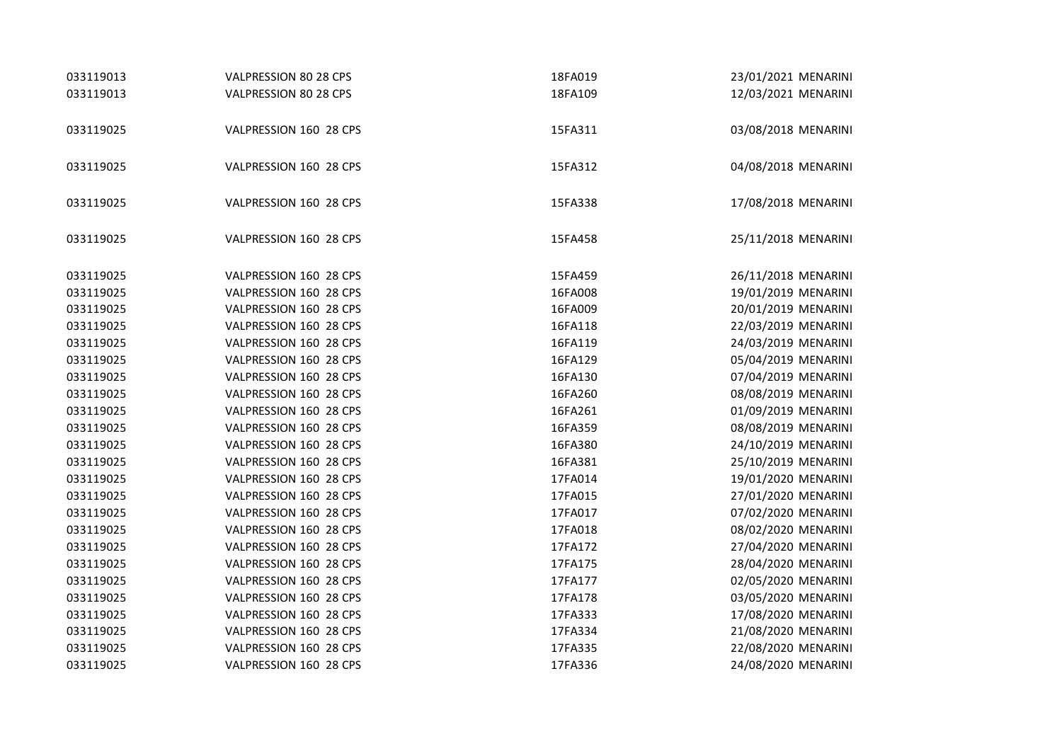| 033119013 | VALPRESSION 80 28 CPS  | 18FA019 | 23/01/2021 MENARINI |
|-----------|------------------------|---------|---------------------|
| 033119013 | VALPRESSION 80 28 CPS  | 18FA109 | 12/03/2021 MENARINI |
|           |                        |         |                     |
| 033119025 | VALPRESSION 160 28 CPS | 15FA311 | 03/08/2018 MENARINI |
|           |                        |         |                     |
| 033119025 | VALPRESSION 160 28 CPS | 15FA312 | 04/08/2018 MENARINI |
|           |                        |         |                     |
| 033119025 | VALPRESSION 160 28 CPS | 15FA338 | 17/08/2018 MENARINI |
|           |                        |         |                     |
| 033119025 | VALPRESSION 160 28 CPS | 15FA458 | 25/11/2018 MENARINI |
|           |                        |         |                     |
| 033119025 | VALPRESSION 160 28 CPS | 15FA459 | 26/11/2018 MENARINI |
| 033119025 | VALPRESSION 160 28 CPS | 16FA008 | 19/01/2019 MENARINI |
| 033119025 | VALPRESSION 160 28 CPS | 16FA009 | 20/01/2019 MENARINI |
| 033119025 | VALPRESSION 160 28 CPS | 16FA118 | 22/03/2019 MENARINI |
| 033119025 | VALPRESSION 160 28 CPS | 16FA119 | 24/03/2019 MENARINI |
| 033119025 | VALPRESSION 160 28 CPS | 16FA129 | 05/04/2019 MENARINI |
| 033119025 | VALPRESSION 160 28 CPS | 16FA130 | 07/04/2019 MENARINI |
| 033119025 | VALPRESSION 160 28 CPS | 16FA260 | 08/08/2019 MENARINI |
| 033119025 | VALPRESSION 160 28 CPS | 16FA261 | 01/09/2019 MENARINI |
| 033119025 | VALPRESSION 160 28 CPS | 16FA359 | 08/08/2019 MENARINI |
| 033119025 | VALPRESSION 160 28 CPS | 16FA380 | 24/10/2019 MENARINI |
| 033119025 | VALPRESSION 160 28 CPS | 16FA381 | 25/10/2019 MENARINI |
| 033119025 | VALPRESSION 160 28 CPS | 17FA014 | 19/01/2020 MENARINI |
| 033119025 | VALPRESSION 160 28 CPS | 17FA015 | 27/01/2020 MENARINI |
| 033119025 | VALPRESSION 160 28 CPS | 17FA017 | 07/02/2020 MENARINI |
| 033119025 | VALPRESSION 160 28 CPS | 17FA018 | 08/02/2020 MENARINI |
| 033119025 | VALPRESSION 160 28 CPS | 17FA172 | 27/04/2020 MENARINI |
| 033119025 | VALPRESSION 160 28 CPS | 17FA175 | 28/04/2020 MENARINI |
| 033119025 | VALPRESSION 160 28 CPS | 17FA177 | 02/05/2020 MENARINI |
| 033119025 | VALPRESSION 160 28 CPS | 17FA178 | 03/05/2020 MENARINI |
| 033119025 | VALPRESSION 160 28 CPS | 17FA333 | 17/08/2020 MENARINI |
| 033119025 | VALPRESSION 160 28 CPS | 17FA334 | 21/08/2020 MENARINI |
| 033119025 | VALPRESSION 160 28 CPS | 17FA335 | 22/08/2020 MENARINI |
| 033119025 | VALPRESSION 160 28 CPS | 17FA336 | 24/08/2020 MENARINI |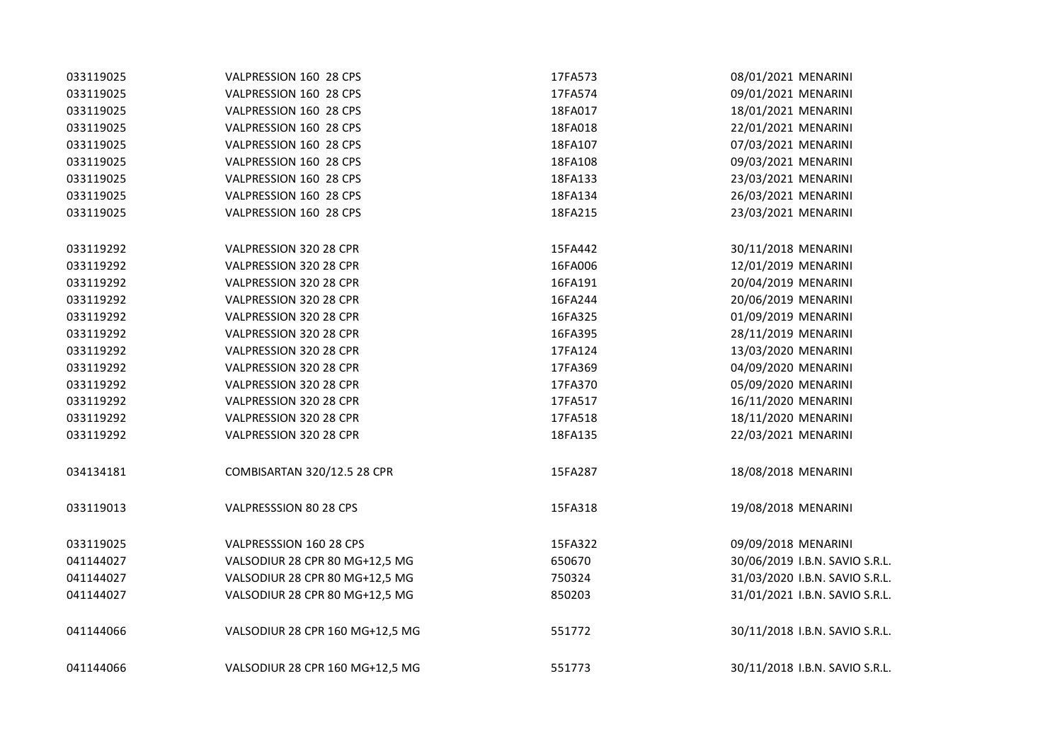| 033119025 | VALPRESSION 160 28 CPS          | 17FA573 | 08/01/2021 MENARINI            |
|-----------|---------------------------------|---------|--------------------------------|
| 033119025 | VALPRESSION 160 28 CPS          | 17FA574 | 09/01/2021 MENARINI            |
| 033119025 | VALPRESSION 160 28 CPS          | 18FA017 | 18/01/2021 MENARINI            |
| 033119025 | VALPRESSION 160 28 CPS          | 18FA018 | 22/01/2021 MENARINI            |
| 033119025 | VALPRESSION 160 28 CPS          | 18FA107 | 07/03/2021 MENARINI            |
| 033119025 | VALPRESSION 160 28 CPS          | 18FA108 | 09/03/2021 MENARINI            |
| 033119025 | VALPRESSION 160 28 CPS          | 18FA133 | 23/03/2021 MENARINI            |
| 033119025 | VALPRESSION 160 28 CPS          | 18FA134 | 26/03/2021 MENARINI            |
| 033119025 | VALPRESSION 160 28 CPS          | 18FA215 | 23/03/2021 MENARINI            |
| 033119292 | VALPRESSION 320 28 CPR          | 15FA442 | 30/11/2018 MENARINI            |
| 033119292 | VALPRESSION 320 28 CPR          | 16FA006 | 12/01/2019 MENARINI            |
| 033119292 | VALPRESSION 320 28 CPR          | 16FA191 | 20/04/2019 MENARINI            |
| 033119292 | VALPRESSION 320 28 CPR          | 16FA244 | 20/06/2019 MENARINI            |
| 033119292 | VALPRESSION 320 28 CPR          | 16FA325 | 01/09/2019 MENARINI            |
| 033119292 | VALPRESSION 320 28 CPR          | 16FA395 | 28/11/2019 MENARINI            |
| 033119292 | VALPRESSION 320 28 CPR          | 17FA124 | 13/03/2020 MENARINI            |
| 033119292 | VALPRESSION 320 28 CPR          | 17FA369 | 04/09/2020 MENARINI            |
| 033119292 | VALPRESSION 320 28 CPR          | 17FA370 | 05/09/2020 MENARINI            |
| 033119292 | VALPRESSION 320 28 CPR          | 17FA517 | 16/11/2020 MENARINI            |
| 033119292 | VALPRESSION 320 28 CPR          | 17FA518 | 18/11/2020 MENARINI            |
| 033119292 | VALPRESSION 320 28 CPR          | 18FA135 | 22/03/2021 MENARINI            |
| 034134181 | COMBISARTAN 320/12.5 28 CPR     | 15FA287 | 18/08/2018 MENARINI            |
| 033119013 | VALPRESSSION 80 28 CPS          | 15FA318 | 19/08/2018 MENARINI            |
| 033119025 | VALPRESSSION 160 28 CPS         | 15FA322 | 09/09/2018 MENARINI            |
| 041144027 | VALSODIUR 28 CPR 80 MG+12,5 MG  | 650670  | 30/06/2019 I.B.N. SAVIO S.R.L. |
| 041144027 | VALSODIUR 28 CPR 80 MG+12,5 MG  | 750324  | 31/03/2020 I.B.N. SAVIO S.R.L. |
| 041144027 | VALSODIUR 28 CPR 80 MG+12,5 MG  | 850203  | 31/01/2021 I.B.N. SAVIO S.R.L. |
| 041144066 | VALSODIUR 28 CPR 160 MG+12,5 MG | 551772  | 30/11/2018 I.B.N. SAVIO S.R.L. |
| 041144066 | VALSODIUR 28 CPR 160 MG+12,5 MG | 551773  | 30/11/2018 I.B.N. SAVIO S.R.L. |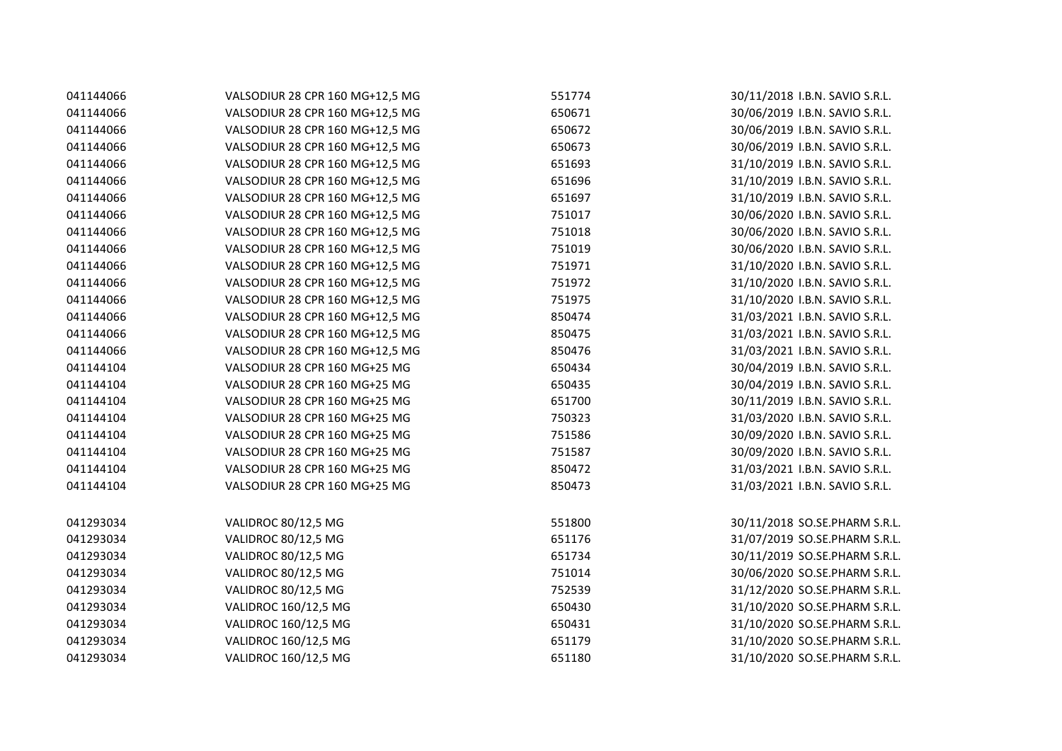| 041144066 | VALSODIUR 28 CPR 160 MG+12,5 MG | 551774 | 30/11/2018 I.B.N. SAVIO S.R.L. |
|-----------|---------------------------------|--------|--------------------------------|
| 041144066 | VALSODIUR 28 CPR 160 MG+12,5 MG | 650671 | 30/06/2019 I.B.N. SAVIO S.R.L. |
| 041144066 | VALSODIUR 28 CPR 160 MG+12,5 MG | 650672 | 30/06/2019 I.B.N. SAVIO S.R.L. |
| 041144066 | VALSODIUR 28 CPR 160 MG+12,5 MG | 650673 | 30/06/2019 I.B.N. SAVIO S.R.L. |
| 041144066 | VALSODIUR 28 CPR 160 MG+12,5 MG | 651693 | 31/10/2019 I.B.N. SAVIO S.R.L. |
| 041144066 | VALSODIUR 28 CPR 160 MG+12,5 MG | 651696 | 31/10/2019 I.B.N. SAVIO S.R.L. |
| 041144066 | VALSODIUR 28 CPR 160 MG+12,5 MG | 651697 | 31/10/2019 I.B.N. SAVIO S.R.L. |
| 041144066 | VALSODIUR 28 CPR 160 MG+12,5 MG | 751017 | 30/06/2020 I.B.N. SAVIO S.R.L. |
| 041144066 | VALSODIUR 28 CPR 160 MG+12,5 MG | 751018 | 30/06/2020 I.B.N. SAVIO S.R.L. |
| 041144066 | VALSODIUR 28 CPR 160 MG+12,5 MG | 751019 | 30/06/2020 I.B.N. SAVIO S.R.L. |
| 041144066 | VALSODIUR 28 CPR 160 MG+12,5 MG | 751971 | 31/10/2020 I.B.N. SAVIO S.R.L. |
| 041144066 | VALSODIUR 28 CPR 160 MG+12,5 MG | 751972 | 31/10/2020 I.B.N. SAVIO S.R.L. |
| 041144066 | VALSODIUR 28 CPR 160 MG+12,5 MG | 751975 | 31/10/2020 I.B.N. SAVIO S.R.L. |
| 041144066 | VALSODIUR 28 CPR 160 MG+12,5 MG | 850474 | 31/03/2021 I.B.N. SAVIO S.R.L. |
| 041144066 | VALSODIUR 28 CPR 160 MG+12,5 MG | 850475 | 31/03/2021 I.B.N. SAVIO S.R.L. |
| 041144066 | VALSODIUR 28 CPR 160 MG+12,5 MG | 850476 | 31/03/2021 I.B.N. SAVIO S.R.L. |
| 041144104 | VALSODIUR 28 CPR 160 MG+25 MG   | 650434 | 30/04/2019 I.B.N. SAVIO S.R.L. |
| 041144104 | VALSODIUR 28 CPR 160 MG+25 MG   | 650435 | 30/04/2019 I.B.N. SAVIO S.R.L. |
| 041144104 | VALSODIUR 28 CPR 160 MG+25 MG   | 651700 | 30/11/2019 I.B.N. SAVIO S.R.L. |
| 041144104 | VALSODIUR 28 CPR 160 MG+25 MG   | 750323 | 31/03/2020 I.B.N. SAVIO S.R.L. |
| 041144104 | VALSODIUR 28 CPR 160 MG+25 MG   | 751586 | 30/09/2020 I.B.N. SAVIO S.R.L. |
| 041144104 | VALSODIUR 28 CPR 160 MG+25 MG   | 751587 | 30/09/2020 I.B.N. SAVIO S.R.L. |
| 041144104 | VALSODIUR 28 CPR 160 MG+25 MG   | 850472 | 31/03/2021 I.B.N. SAVIO S.R.L. |
| 041144104 | VALSODIUR 28 CPR 160 MG+25 MG   | 850473 | 31/03/2021 I.B.N. SAVIO S.R.L. |
| 041293034 | VALIDROC 80/12,5 MG             | 551800 | 30/11/2018 SO.SE.PHARM S.R.L.  |
| 041293034 | VALIDROC 80/12,5 MG             | 651176 | 31/07/2019 SO.SE.PHARM S.R.L.  |
| 041293034 | VALIDROC 80/12,5 MG             | 651734 | 30/11/2019 SO.SE.PHARM S.R.L.  |
| 041293034 | VALIDROC 80/12,5 MG             | 751014 | 30/06/2020 SO.SE.PHARM S.R.L.  |
| 041293034 | VALIDROC 80/12,5 MG             | 752539 | 31/12/2020 SO.SE.PHARM S.R.L.  |
| 041293034 | VALIDROC 160/12,5 MG            | 650430 | 31/10/2020 SO.SE.PHARM S.R.L.  |
| 041293034 | VALIDROC 160/12,5 MG            | 650431 | 31/10/2020 SO.SE.PHARM S.R.L.  |
| 041293034 | VALIDROC 160/12,5 MG            | 651179 | 31/10/2020 SO.SE.PHARM S.R.L.  |
| 041293034 | VALIDROC 160/12,5 MG            | 651180 | 31/10/2020 SO.SE.PHARM S.R.L.  |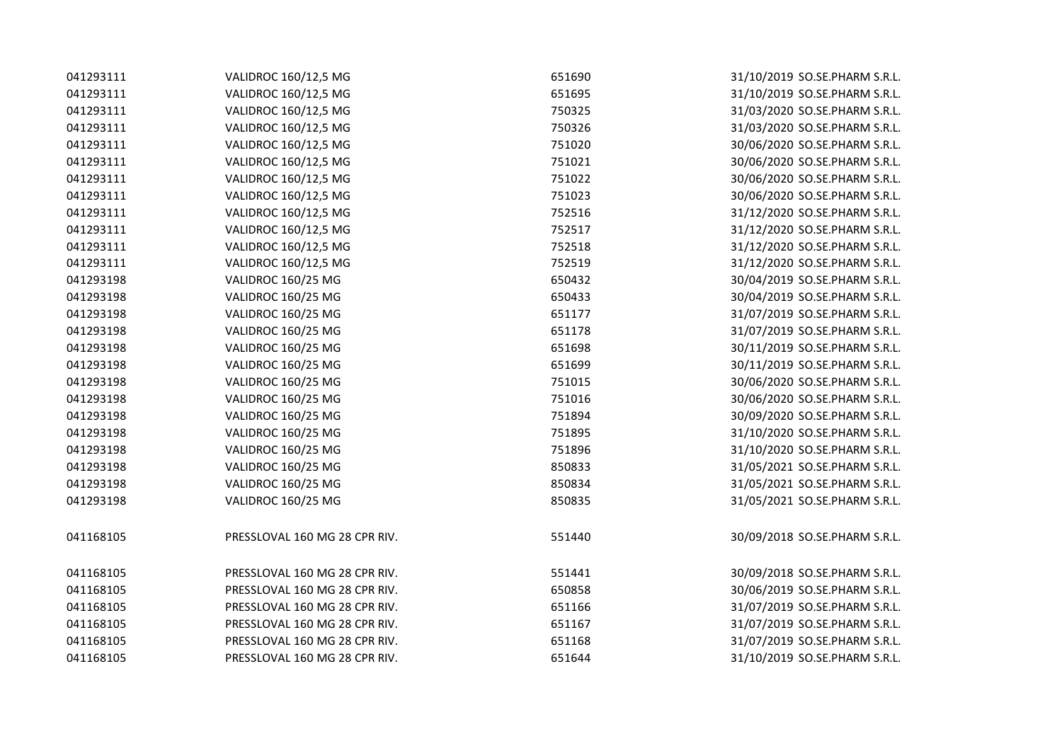| 041293111 | VALIDROC 160/12,5 MG          | 651690 | 31/10/2019 SO.SE.PHARM S.R.L. |
|-----------|-------------------------------|--------|-------------------------------|
| 041293111 | VALIDROC 160/12,5 MG          | 651695 | 31/10/2019 SO.SE.PHARM S.R.L. |
| 041293111 | VALIDROC 160/12,5 MG          | 750325 | 31/03/2020 SO.SE.PHARM S.R.L. |
| 041293111 | VALIDROC 160/12,5 MG          | 750326 | 31/03/2020 SO.SE.PHARM S.R.L. |
| 041293111 | VALIDROC 160/12,5 MG          | 751020 | 30/06/2020 SO.SE.PHARM S.R.L. |
| 041293111 | VALIDROC 160/12,5 MG          | 751021 | 30/06/2020 SO.SE.PHARM S.R.L. |
| 041293111 | VALIDROC 160/12,5 MG          | 751022 | 30/06/2020 SO.SE.PHARM S.R.L. |
| 041293111 | VALIDROC 160/12,5 MG          | 751023 | 30/06/2020 SO.SE.PHARM S.R.L. |
| 041293111 | VALIDROC 160/12,5 MG          | 752516 | 31/12/2020 SO.SE.PHARM S.R.L. |
| 041293111 | VALIDROC 160/12,5 MG          | 752517 | 31/12/2020 SO.SE.PHARM S.R.L. |
| 041293111 | VALIDROC 160/12,5 MG          | 752518 | 31/12/2020 SO.SE.PHARM S.R.L. |
| 041293111 | VALIDROC 160/12,5 MG          | 752519 | 31/12/2020 SO.SE.PHARM S.R.L. |
| 041293198 | VALIDROC 160/25 MG            | 650432 | 30/04/2019 SO.SE.PHARM S.R.L. |
| 041293198 | VALIDROC 160/25 MG            | 650433 | 30/04/2019 SO.SE.PHARM S.R.L. |
| 041293198 | VALIDROC 160/25 MG            | 651177 | 31/07/2019 SO.SE.PHARM S.R.L. |
| 041293198 | VALIDROC 160/25 MG            | 651178 | 31/07/2019 SO.SE.PHARM S.R.L. |
| 041293198 | VALIDROC 160/25 MG            | 651698 | 30/11/2019 SO.SE.PHARM S.R.L. |
| 041293198 | VALIDROC 160/25 MG            | 651699 | 30/11/2019 SO.SE.PHARM S.R.L. |
| 041293198 | VALIDROC 160/25 MG            | 751015 | 30/06/2020 SO.SE.PHARM S.R.L. |
| 041293198 | VALIDROC 160/25 MG            | 751016 | 30/06/2020 SO.SE.PHARM S.R.L. |
| 041293198 | VALIDROC 160/25 MG            | 751894 | 30/09/2020 SO.SE.PHARM S.R.L. |
| 041293198 | VALIDROC 160/25 MG            | 751895 | 31/10/2020 SO.SE.PHARM S.R.L. |
| 041293198 | VALIDROC 160/25 MG            | 751896 | 31/10/2020 SO.SE.PHARM S.R.L. |
| 041293198 | VALIDROC 160/25 MG            | 850833 | 31/05/2021 SO.SE.PHARM S.R.L. |
| 041293198 | VALIDROC 160/25 MG            | 850834 | 31/05/2021 SO.SE.PHARM S.R.L. |
| 041293198 | VALIDROC 160/25 MG            | 850835 | 31/05/2021 SO.SE.PHARM S.R.L. |
| 041168105 | PRESSLOVAL 160 MG 28 CPR RIV. | 551440 | 30/09/2018 SO.SE.PHARM S.R.L. |
| 041168105 | PRESSLOVAL 160 MG 28 CPR RIV. | 551441 | 30/09/2018 SO.SE.PHARM S.R.L. |
| 041168105 | PRESSLOVAL 160 MG 28 CPR RIV. | 650858 | 30/06/2019 SO.SE.PHARM S.R.L. |
| 041168105 | PRESSLOVAL 160 MG 28 CPR RIV. | 651166 | 31/07/2019 SO.SE.PHARM S.R.L. |
| 041168105 | PRESSLOVAL 160 MG 28 CPR RIV. | 651167 | 31/07/2019 SO.SE.PHARM S.R.L. |
| 041168105 | PRESSLOVAL 160 MG 28 CPR RIV. | 651168 | 31/07/2019 SO.SE.PHARM S.R.L. |
| 041168105 | PRESSLOVAL 160 MG 28 CPR RIV. | 651644 | 31/10/2019 SO.SE.PHARM S.R.L. |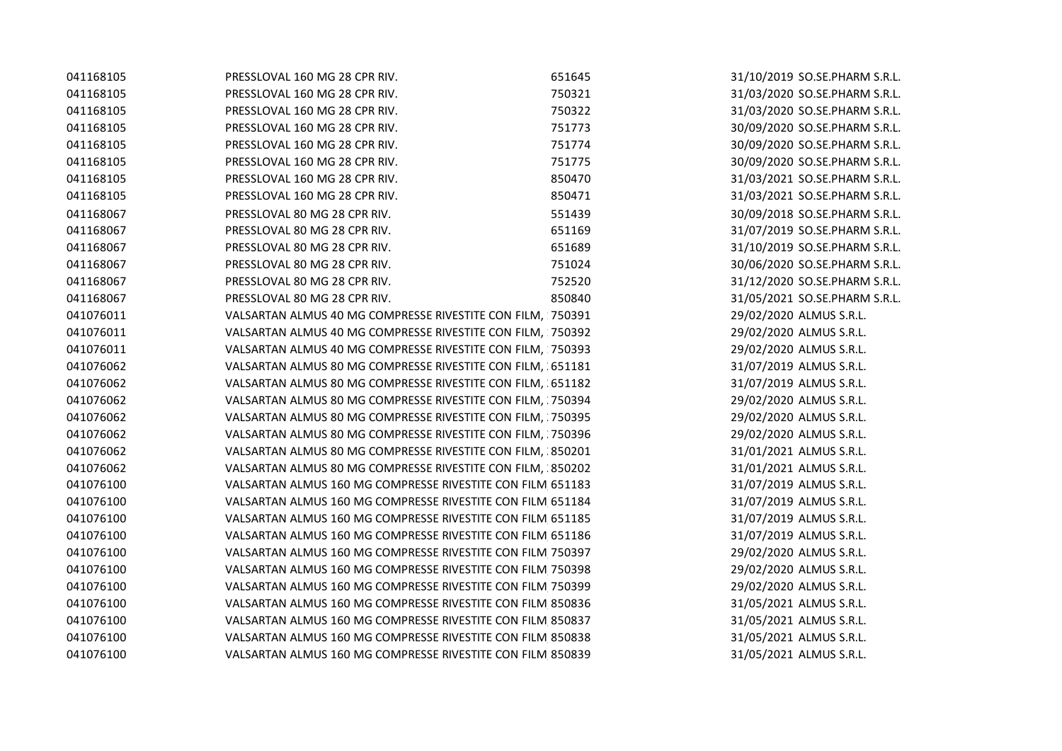| 041168105 | PRESSLOVAL 160 MG 28 CPR RIV.                              | 651645 | 31/10/2019 SO.SE.PHARM S.R.L. |
|-----------|------------------------------------------------------------|--------|-------------------------------|
| 041168105 | PRESSLOVAL 160 MG 28 CPR RIV.                              | 750321 | 31/03/2020 SO.SE.PHARM S.R.L. |
| 041168105 | PRESSLOVAL 160 MG 28 CPR RIV.                              | 750322 | 31/03/2020 SO.SE.PHARM S.R.L. |
| 041168105 | PRESSLOVAL 160 MG 28 CPR RIV.                              | 751773 | 30/09/2020 SO.SE.PHARM S.R.L. |
| 041168105 | PRESSLOVAL 160 MG 28 CPR RIV.                              | 751774 | 30/09/2020 SO.SE.PHARM S.R.L. |
| 041168105 | PRESSLOVAL 160 MG 28 CPR RIV.                              | 751775 | 30/09/2020 SO.SE.PHARM S.R.L. |
| 041168105 | PRESSLOVAL 160 MG 28 CPR RIV.                              | 850470 | 31/03/2021 SO.SE.PHARM S.R.L. |
| 041168105 | PRESSLOVAL 160 MG 28 CPR RIV.                              | 850471 | 31/03/2021 SO.SE.PHARM S.R.L. |
| 041168067 | PRESSLOVAL 80 MG 28 CPR RIV.                               | 551439 | 30/09/2018 SO.SE.PHARM S.R.L. |
| 041168067 | PRESSLOVAL 80 MG 28 CPR RIV.                               | 651169 | 31/07/2019 SO.SE.PHARM S.R.L. |
| 041168067 | PRESSLOVAL 80 MG 28 CPR RIV.                               | 651689 | 31/10/2019 SO.SE.PHARM S.R.L. |
| 041168067 | PRESSLOVAL 80 MG 28 CPR RIV.                               | 751024 | 30/06/2020 SO.SE.PHARM S.R.L. |
| 041168067 | PRESSLOVAL 80 MG 28 CPR RIV.                               | 752520 | 31/12/2020 SO.SE.PHARM S.R.L. |
| 041168067 | PRESSLOVAL 80 MG 28 CPR RIV.                               | 850840 | 31/05/2021 SO.SE.PHARM S.R.L. |
| 041076011 | VALSARTAN ALMUS 40 MG COMPRESSE RIVESTITE CON FILM, 750391 |        | 29/02/2020 ALMUS S.R.L.       |
| 041076011 | VALSARTAN ALMUS 40 MG COMPRESSE RIVESTITE CON FILM, 750392 |        | 29/02/2020 ALMUS S.R.L.       |
| 041076011 | VALSARTAN ALMUS 40 MG COMPRESSE RIVESTITE CON FILM, 750393 |        | 29/02/2020 ALMUS S.R.L.       |
| 041076062 | VALSARTAN ALMUS 80 MG COMPRESSE RIVESTITE CON FILM, 651181 |        | 31/07/2019 ALMUS S.R.L.       |
| 041076062 | VALSARTAN ALMUS 80 MG COMPRESSE RIVESTITE CON FILM, 651182 |        | 31/07/2019 ALMUS S.R.L.       |
| 041076062 | VALSARTAN ALMUS 80 MG COMPRESSE RIVESTITE CON FILM, 750394 |        | 29/02/2020 ALMUS S.R.L.       |
| 041076062 | VALSARTAN ALMUS 80 MG COMPRESSE RIVESTITE CON FILM, 750395 |        | 29/02/2020 ALMUS S.R.L.       |
| 041076062 | VALSARTAN ALMUS 80 MG COMPRESSE RIVESTITE CON FILM, 750396 |        | 29/02/2020 ALMUS S.R.L.       |
| 041076062 | VALSARTAN ALMUS 80 MG COMPRESSE RIVESTITE CON FILM, 850201 |        | 31/01/2021 ALMUS S.R.L.       |
| 041076062 | VALSARTAN ALMUS 80 MG COMPRESSE RIVESTITE CON FILM, 850202 |        | 31/01/2021 ALMUS S.R.L.       |
| 041076100 | VALSARTAN ALMUS 160 MG COMPRESSE RIVESTITE CON FILM 651183 |        | 31/07/2019 ALMUS S.R.L.       |
| 041076100 | VALSARTAN ALMUS 160 MG COMPRESSE RIVESTITE CON FILM 651184 |        | 31/07/2019 ALMUS S.R.L.       |
| 041076100 | VALSARTAN ALMUS 160 MG COMPRESSE RIVESTITE CON FILM 651185 |        | 31/07/2019 ALMUS S.R.L.       |
| 041076100 | VALSARTAN ALMUS 160 MG COMPRESSE RIVESTITE CON FILM 651186 |        | 31/07/2019 ALMUS S.R.L.       |
| 041076100 | VALSARTAN ALMUS 160 MG COMPRESSE RIVESTITE CON FILM 750397 |        | 29/02/2020 ALMUS S.R.L.       |
| 041076100 | VALSARTAN ALMUS 160 MG COMPRESSE RIVESTITE CON FILM 750398 |        | 29/02/2020 ALMUS S.R.L.       |
| 041076100 | VALSARTAN ALMUS 160 MG COMPRESSE RIVESTITE CON FILM 750399 |        | 29/02/2020 ALMUS S.R.L.       |
| 041076100 | VALSARTAN ALMUS 160 MG COMPRESSE RIVESTITE CON FILM 850836 |        | 31/05/2021 ALMUS S.R.L.       |
| 041076100 | VALSARTAN ALMUS 160 MG COMPRESSE RIVESTITE CON FILM 850837 |        | 31/05/2021 ALMUS S.R.L.       |
| 041076100 | VALSARTAN ALMUS 160 MG COMPRESSE RIVESTITE CON FILM 850838 |        | 31/05/2021 ALMUS S.R.L.       |
| 041076100 | VALSARTAN ALMUS 160 MG COMPRESSE RIVESTITE CON FILM 850839 |        | 31/05/2021 ALMUS S.R.L.       |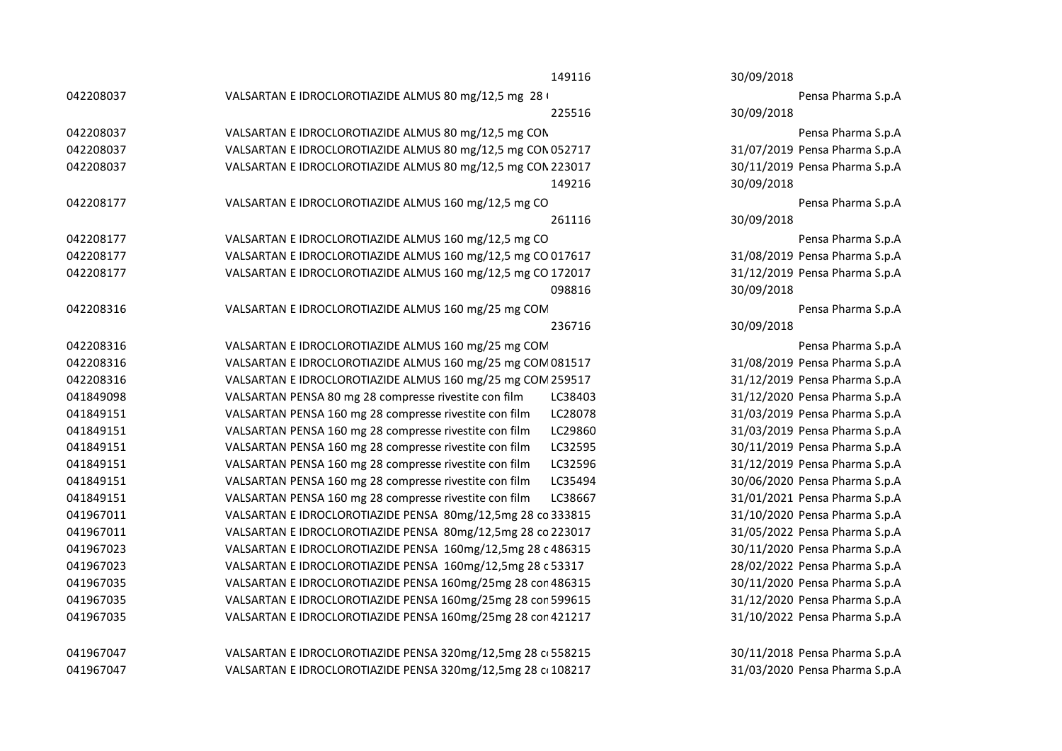|           | 149116                                                            | 30/09/2018                    |
|-----------|-------------------------------------------------------------------|-------------------------------|
| 042208037 | VALSARTAN E IDROCLOROTIAZIDE ALMUS 80 mg/12,5 mg 28 \             | Pensa Pharma S.p.A            |
|           | 225516                                                            | 30/09/2018                    |
| 042208037 | VALSARTAN E IDROCLOROTIAZIDE ALMUS 80 mg/12,5 mg CON              | Pensa Pharma S.p.A            |
| 042208037 | VALSARTAN E IDROCLOROTIAZIDE ALMUS 80 mg/12,5 mg CON 052717       | 31/07/2019 Pensa Pharma S.p.A |
| 042208037 | VALSARTAN E IDROCLOROTIAZIDE ALMUS 80 mg/12,5 mg CON 223017       | 30/11/2019 Pensa Pharma S.p.A |
|           | 149216                                                            | 30/09/2018                    |
| 042208177 | VALSARTAN E IDROCLOROTIAZIDE ALMUS 160 mg/12,5 mg CO              | Pensa Pharma S.p.A            |
|           | 261116                                                            | 30/09/2018                    |
| 042208177 | VALSARTAN E IDROCLOROTIAZIDE ALMUS 160 mg/12,5 mg CO              | Pensa Pharma S.p.A            |
| 042208177 | VALSARTAN E IDROCLOROTIAZIDE ALMUS 160 mg/12,5 mg CO 017617       | 31/08/2019 Pensa Pharma S.p.A |
| 042208177 | VALSARTAN E IDROCLOROTIAZIDE ALMUS 160 mg/12,5 mg CO 172017       | 31/12/2019 Pensa Pharma S.p.A |
|           | 098816                                                            | 30/09/2018                    |
| 042208316 | VALSARTAN E IDROCLOROTIAZIDE ALMUS 160 mg/25 mg COM               | Pensa Pharma S.p.A            |
|           | 236716                                                            | 30/09/2018                    |
| 042208316 | VALSARTAN E IDROCLOROTIAZIDE ALMUS 160 mg/25 mg COM               | Pensa Pharma S.p.A            |
| 042208316 | VALSARTAN E IDROCLOROTIAZIDE ALMUS 160 mg/25 mg COM 081517        | 31/08/2019 Pensa Pharma S.p.A |
| 042208316 | VALSARTAN E IDROCLOROTIAZIDE ALMUS 160 mg/25 mg COM 259517        | 31/12/2019 Pensa Pharma S.p.A |
| 041849098 | VALSARTAN PENSA 80 mg 28 compresse rivestite con film<br>LC38403  | 31/12/2020 Pensa Pharma S.p.A |
| 041849151 | VALSARTAN PENSA 160 mg 28 compresse rivestite con film<br>LC28078 | 31/03/2019 Pensa Pharma S.p.A |
| 041849151 | VALSARTAN PENSA 160 mg 28 compresse rivestite con film<br>LC29860 | 31/03/2019 Pensa Pharma S.p.A |
| 041849151 | LC32595<br>VALSARTAN PENSA 160 mg 28 compresse rivestite con film | 30/11/2019 Pensa Pharma S.p.A |
| 041849151 | LC32596<br>VALSARTAN PENSA 160 mg 28 compresse rivestite con film | 31/12/2019 Pensa Pharma S.p.A |
| 041849151 | VALSARTAN PENSA 160 mg 28 compresse rivestite con film<br>LC35494 | 30/06/2020 Pensa Pharma S.p.A |
| 041849151 | VALSARTAN PENSA 160 mg 28 compresse rivestite con film<br>LC38667 | 31/01/2021 Pensa Pharma S.p.A |
| 041967011 | VALSARTAN E IDROCLOROTIAZIDE PENSA 80mg/12,5mg 28 co 333815       | 31/10/2020 Pensa Pharma S.p.A |
| 041967011 | VALSARTAN E IDROCLOROTIAZIDE PENSA 80mg/12,5mg 28 co 223017       | 31/05/2022 Pensa Pharma S.p.A |
| 041967023 | VALSARTAN E IDROCLOROTIAZIDE PENSA 160mg/12,5mg 28 c 486315       | 30/11/2020 Pensa Pharma S.p.A |
| 041967023 | VALSARTAN E IDROCLOROTIAZIDE PENSA 160mg/12,5mg 28 c 53317        | 28/02/2022 Pensa Pharma S.p.A |
| 041967035 | VALSARTAN E IDROCLOROTIAZIDE PENSA 160mg/25mg 28 con 486315       | 30/11/2020 Pensa Pharma S.p.A |
| 041967035 | VALSARTAN E IDROCLOROTIAZIDE PENSA 160mg/25mg 28 con 599615       | 31/12/2020 Pensa Pharma S.p.A |
| 041967035 | VALSARTAN E IDROCLOROTIAZIDE PENSA 160mg/25mg 28 con 421217       | 31/10/2022 Pensa Pharma S.p.A |
| 041967047 | VALSARTAN E IDROCLOROTIAZIDE PENSA 320mg/12,5mg 28 c 558215       | 30/11/2018 Pensa Pharma S.p.A |
| 041967047 | VALSARTAN E IDROCLOROTIAZIDE PENSA 320mg/12,5mg 28 c 108217       | 31/03/2020 Pensa Pharma S.p.A |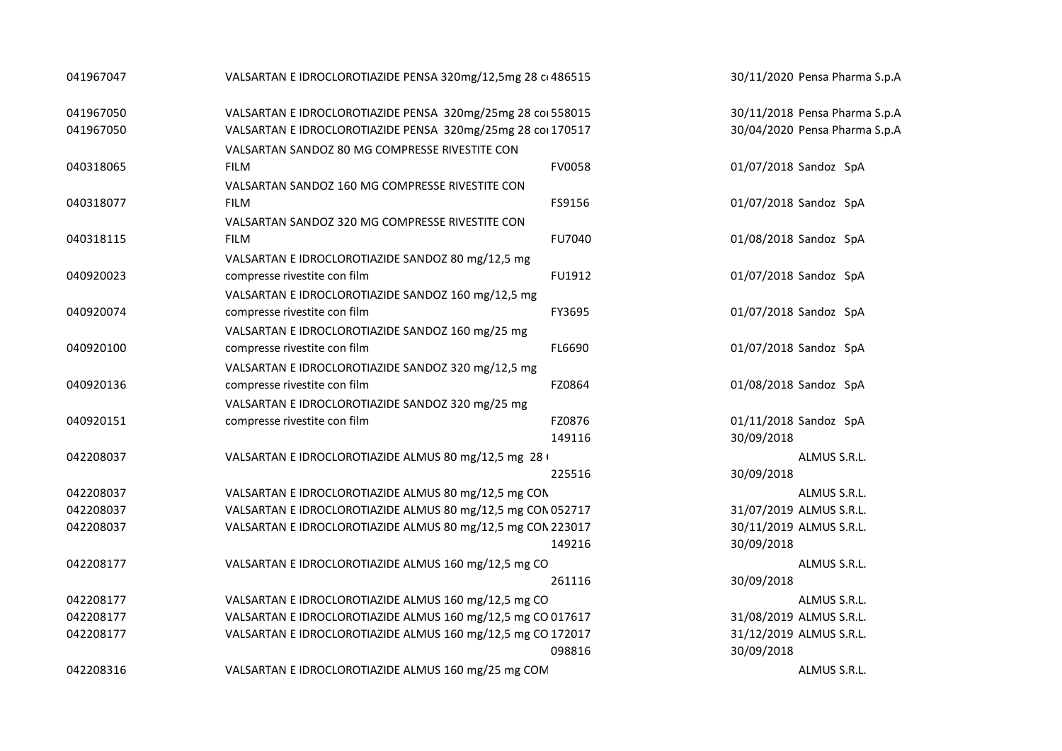| 041967047 | VALSARTAN E IDROCLOROTIAZIDE PENSA 320mg/12,5mg 28 c 486515 |        | 30/11/2020 Pensa Pharma S.p.A |
|-----------|-------------------------------------------------------------|--------|-------------------------------|
| 041967050 | VALSARTAN E IDROCLOROTIAZIDE PENSA 320mg/25mg 28 col 558015 |        | 30/11/2018 Pensa Pharma S.p.A |
| 041967050 | VALSARTAN E IDROCLOROTIAZIDE PENSA 320mg/25mg 28 col 170517 |        | 30/04/2020 Pensa Pharma S.p.A |
|           | VALSARTAN SANDOZ 80 MG COMPRESSE RIVESTITE CON              |        |                               |
| 040318065 | <b>FILM</b>                                                 | FV0058 | 01/07/2018 Sandoz SpA         |
|           | VALSARTAN SANDOZ 160 MG COMPRESSE RIVESTITE CON             |        |                               |
| 040318077 | <b>FILM</b>                                                 | FS9156 | 01/07/2018 Sandoz SpA         |
|           | VALSARTAN SANDOZ 320 MG COMPRESSE RIVESTITE CON             |        |                               |
| 040318115 | <b>FILM</b>                                                 | FU7040 | 01/08/2018 Sandoz SpA         |
|           | VALSARTAN E IDROCLOROTIAZIDE SANDOZ 80 mg/12,5 mg           |        |                               |
| 040920023 | compresse rivestite con film                                | FU1912 | 01/07/2018 Sandoz SpA         |
|           | VALSARTAN E IDROCLOROTIAZIDE SANDOZ 160 mg/12,5 mg          |        |                               |
| 040920074 | compresse rivestite con film                                | FY3695 | 01/07/2018 Sandoz SpA         |
|           | VALSARTAN E IDROCLOROTIAZIDE SANDOZ 160 mg/25 mg            |        |                               |
| 040920100 | compresse rivestite con film                                | FL6690 | 01/07/2018 Sandoz SpA         |
|           | VALSARTAN E IDROCLOROTIAZIDE SANDOZ 320 mg/12,5 mg          |        |                               |
| 040920136 | compresse rivestite con film                                | FZ0864 | 01/08/2018 Sandoz SpA         |
|           | VALSARTAN E IDROCLOROTIAZIDE SANDOZ 320 mg/25 mg            |        |                               |
| 040920151 | compresse rivestite con film                                | FZ0876 | 01/11/2018 Sandoz SpA         |
|           |                                                             | 149116 | 30/09/2018                    |
| 042208037 | VALSARTAN E IDROCLOROTIAZIDE ALMUS 80 mg/12,5 mg 28 (       |        | ALMUS S.R.L.                  |
|           |                                                             | 225516 | 30/09/2018                    |
| 042208037 | VALSARTAN E IDROCLOROTIAZIDE ALMUS 80 mg/12,5 mg CON        |        | ALMUS S.R.L.                  |
| 042208037 | VALSARTAN E IDROCLOROTIAZIDE ALMUS 80 mg/12,5 mg CON 052717 |        | 31/07/2019 ALMUS S.R.L.       |
| 042208037 | VALSARTAN E IDROCLOROTIAZIDE ALMUS 80 mg/12,5 mg CON 223017 |        | 30/11/2019 ALMUS S.R.L.       |
|           |                                                             | 149216 | 30/09/2018                    |
| 042208177 | VALSARTAN E IDROCLOROTIAZIDE ALMUS 160 mg/12,5 mg CO        |        | ALMUS S.R.L.                  |
|           |                                                             | 261116 | 30/09/2018                    |
| 042208177 | VALSARTAN E IDROCLOROTIAZIDE ALMUS 160 mg/12,5 mg CO        |        | ALMUS S.R.L.                  |
| 042208177 | VALSARTAN E IDROCLOROTIAZIDE ALMUS 160 mg/12,5 mg CO 017617 |        | 31/08/2019 ALMUS S.R.L.       |
| 042208177 | VALSARTAN E IDROCLOROTIAZIDE ALMUS 160 mg/12,5 mg CO 172017 |        | 31/12/2019 ALMUS S.R.L.       |
|           |                                                             | 098816 | 30/09/2018                    |
| 042208316 | VALSARTAN E IDROCLOROTIAZIDE ALMUS 160 mg/25 mg COM         |        | ALMUS S.R.L.                  |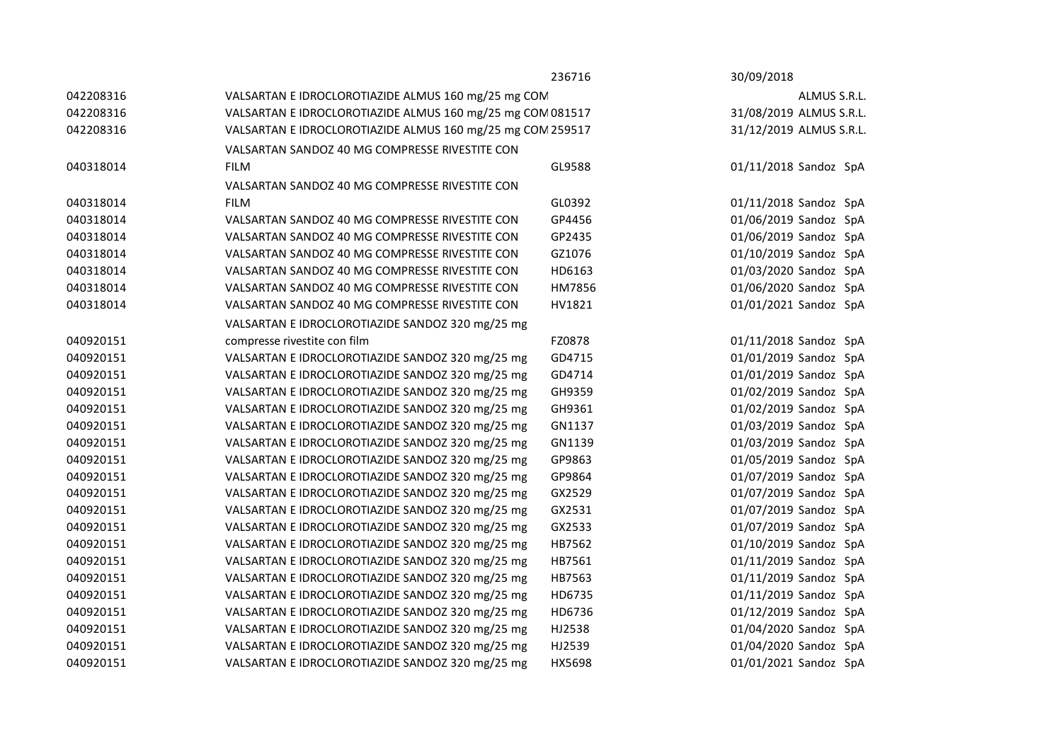|           |                                                            | 236716 | 30/09/2018              |
|-----------|------------------------------------------------------------|--------|-------------------------|
| 042208316 | VALSARTAN E IDROCLOROTIAZIDE ALMUS 160 mg/25 mg COM        |        | ALMUS S.R.L.            |
| 042208316 | VALSARTAN E IDROCLOROTIAZIDE ALMUS 160 mg/25 mg COM 081517 |        | 31/08/2019 ALMUS S.R.L. |
| 042208316 | VALSARTAN E IDROCLOROTIAZIDE ALMUS 160 mg/25 mg COM 259517 |        | 31/12/2019 ALMUS S.R.L. |
|           | VALSARTAN SANDOZ 40 MG COMPRESSE RIVESTITE CON             |        |                         |
| 040318014 | <b>FILM</b>                                                | GL9588 | 01/11/2018 Sandoz SpA   |
|           | VALSARTAN SANDOZ 40 MG COMPRESSE RIVESTITE CON             |        |                         |
| 040318014 | <b>FILM</b>                                                | GL0392 | 01/11/2018 Sandoz SpA   |
| 040318014 | VALSARTAN SANDOZ 40 MG COMPRESSE RIVESTITE CON             | GP4456 | 01/06/2019 Sandoz SpA   |
| 040318014 | VALSARTAN SANDOZ 40 MG COMPRESSE RIVESTITE CON             | GP2435 | 01/06/2019 Sandoz SpA   |
| 040318014 | VALSARTAN SANDOZ 40 MG COMPRESSE RIVESTITE CON             | GZ1076 | 01/10/2019 Sandoz SpA   |
| 040318014 | VALSARTAN SANDOZ 40 MG COMPRESSE RIVESTITE CON             | HD6163 | 01/03/2020 Sandoz SpA   |
| 040318014 | VALSARTAN SANDOZ 40 MG COMPRESSE RIVESTITE CON             | HM7856 | 01/06/2020 Sandoz SpA   |
| 040318014 | VALSARTAN SANDOZ 40 MG COMPRESSE RIVESTITE CON             | HV1821 | 01/01/2021 Sandoz SpA   |
|           | VALSARTAN E IDROCLOROTIAZIDE SANDOZ 320 mg/25 mg           |        |                         |
| 040920151 | compresse rivestite con film                               | FZ0878 | 01/11/2018 Sandoz SpA   |
| 040920151 | VALSARTAN E IDROCLOROTIAZIDE SANDOZ 320 mg/25 mg           | GD4715 | 01/01/2019 Sandoz SpA   |
| 040920151 | VALSARTAN E IDROCLOROTIAZIDE SANDOZ 320 mg/25 mg           | GD4714 | 01/01/2019 Sandoz SpA   |
| 040920151 | VALSARTAN E IDROCLOROTIAZIDE SANDOZ 320 mg/25 mg           | GH9359 | 01/02/2019 Sandoz SpA   |
| 040920151 | VALSARTAN E IDROCLOROTIAZIDE SANDOZ 320 mg/25 mg           | GH9361 | 01/02/2019 Sandoz SpA   |
| 040920151 | VALSARTAN E IDROCLOROTIAZIDE SANDOZ 320 mg/25 mg           | GN1137 | 01/03/2019 Sandoz SpA   |
| 040920151 | VALSARTAN E IDROCLOROTIAZIDE SANDOZ 320 mg/25 mg           | GN1139 | 01/03/2019 Sandoz SpA   |
| 040920151 | VALSARTAN E IDROCLOROTIAZIDE SANDOZ 320 mg/25 mg           | GP9863 | 01/05/2019 Sandoz SpA   |
| 040920151 | VALSARTAN E IDROCLOROTIAZIDE SANDOZ 320 mg/25 mg           | GP9864 | 01/07/2019 Sandoz SpA   |
| 040920151 | VALSARTAN E IDROCLOROTIAZIDE SANDOZ 320 mg/25 mg           | GX2529 | 01/07/2019 Sandoz SpA   |
| 040920151 | VALSARTAN E IDROCLOROTIAZIDE SANDOZ 320 mg/25 mg           | GX2531 | 01/07/2019 Sandoz SpA   |
| 040920151 | VALSARTAN E IDROCLOROTIAZIDE SANDOZ 320 mg/25 mg           | GX2533 | 01/07/2019 Sandoz SpA   |
| 040920151 | VALSARTAN E IDROCLOROTIAZIDE SANDOZ 320 mg/25 mg           | HB7562 | 01/10/2019 Sandoz SpA   |
| 040920151 | VALSARTAN E IDROCLOROTIAZIDE SANDOZ 320 mg/25 mg           | HB7561 | 01/11/2019 Sandoz SpA   |
| 040920151 | VALSARTAN E IDROCLOROTIAZIDE SANDOZ 320 mg/25 mg           | HB7563 | 01/11/2019 Sandoz SpA   |
| 040920151 | VALSARTAN E IDROCLOROTIAZIDE SANDOZ 320 mg/25 mg           | HD6735 | 01/11/2019 Sandoz SpA   |
| 040920151 | VALSARTAN E IDROCLOROTIAZIDE SANDOZ 320 mg/25 mg           | HD6736 | 01/12/2019 Sandoz SpA   |
| 040920151 | VALSARTAN E IDROCLOROTIAZIDE SANDOZ 320 mg/25 mg           | HJ2538 | 01/04/2020 Sandoz SpA   |
| 040920151 | VALSARTAN E IDROCLOROTIAZIDE SANDOZ 320 mg/25 mg           | HJ2539 | 01/04/2020 Sandoz SpA   |
| 040920151 | VALSARTAN E IDROCLOROTIAZIDE SANDOZ 320 mg/25 mg           | HX5698 | 01/01/2021 Sandoz SpA   |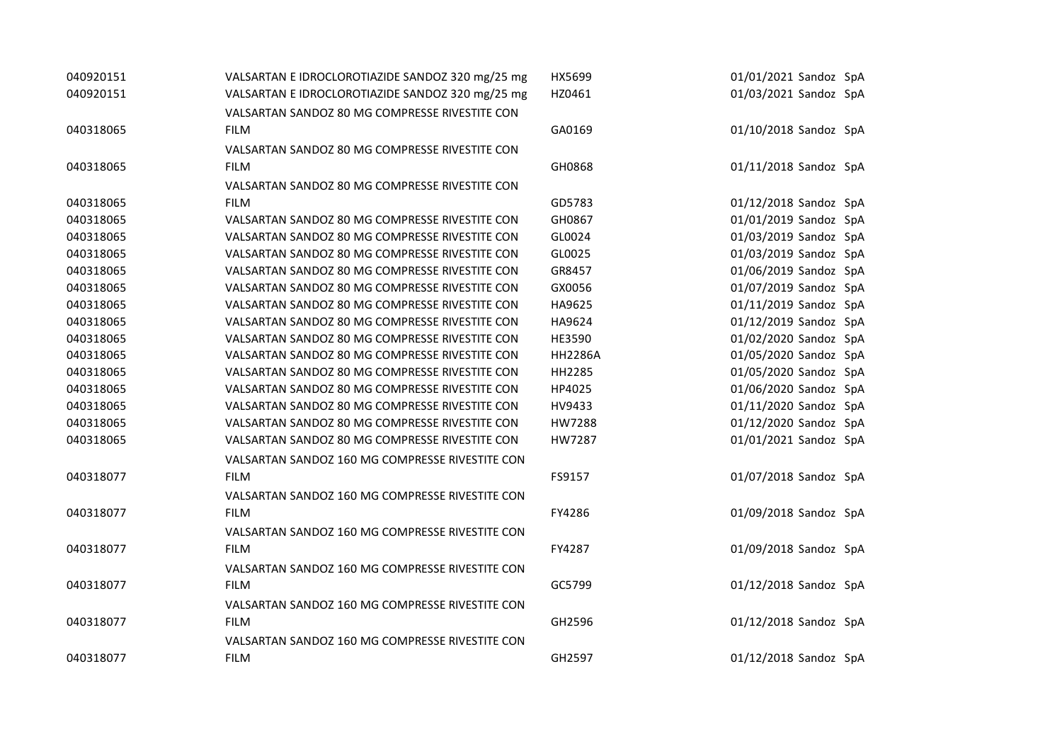| 040920151 | VALSARTAN E IDROCLOROTIAZIDE SANDOZ 320 mg/25 mg | HX5699         | 01/01/2021 Sandoz SpA |
|-----------|--------------------------------------------------|----------------|-----------------------|
| 040920151 | VALSARTAN E IDROCLOROTIAZIDE SANDOZ 320 mg/25 mg | HZ0461         | 01/03/2021 Sandoz SpA |
|           | VALSARTAN SANDOZ 80 MG COMPRESSE RIVESTITE CON   |                |                       |
| 040318065 | <b>FILM</b>                                      | GA0169         | 01/10/2018 Sandoz SpA |
|           | VALSARTAN SANDOZ 80 MG COMPRESSE RIVESTITE CON   |                |                       |
| 040318065 | <b>FILM</b>                                      | GH0868         | 01/11/2018 Sandoz SpA |
|           | VALSARTAN SANDOZ 80 MG COMPRESSE RIVESTITE CON   |                |                       |
| 040318065 | <b>FILM</b>                                      | GD5783         | 01/12/2018 Sandoz SpA |
| 040318065 | VALSARTAN SANDOZ 80 MG COMPRESSE RIVESTITE CON   | GH0867         | 01/01/2019 Sandoz SpA |
| 040318065 | VALSARTAN SANDOZ 80 MG COMPRESSE RIVESTITE CON   | GL0024         | 01/03/2019 Sandoz SpA |
| 040318065 | VALSARTAN SANDOZ 80 MG COMPRESSE RIVESTITE CON   | GL0025         | 01/03/2019 Sandoz SpA |
| 040318065 | VALSARTAN SANDOZ 80 MG COMPRESSE RIVESTITE CON   | GR8457         | 01/06/2019 Sandoz SpA |
| 040318065 | VALSARTAN SANDOZ 80 MG COMPRESSE RIVESTITE CON   | GX0056         | 01/07/2019 Sandoz SpA |
| 040318065 | VALSARTAN SANDOZ 80 MG COMPRESSE RIVESTITE CON   | HA9625         | 01/11/2019 Sandoz SpA |
| 040318065 | VALSARTAN SANDOZ 80 MG COMPRESSE RIVESTITE CON   | HA9624         | 01/12/2019 Sandoz SpA |
| 040318065 | VALSARTAN SANDOZ 80 MG COMPRESSE RIVESTITE CON   | HE3590         | 01/02/2020 Sandoz SpA |
| 040318065 | VALSARTAN SANDOZ 80 MG COMPRESSE RIVESTITE CON   | <b>HH2286A</b> | 01/05/2020 Sandoz SpA |
| 040318065 | VALSARTAN SANDOZ 80 MG COMPRESSE RIVESTITE CON   | HH2285         | 01/05/2020 Sandoz SpA |
| 040318065 | VALSARTAN SANDOZ 80 MG COMPRESSE RIVESTITE CON   | HP4025         | 01/06/2020 Sandoz SpA |
| 040318065 | VALSARTAN SANDOZ 80 MG COMPRESSE RIVESTITE CON   | HV9433         | 01/11/2020 Sandoz SpA |
| 040318065 | VALSARTAN SANDOZ 80 MG COMPRESSE RIVESTITE CON   | HW7288         | 01/12/2020 Sandoz SpA |
| 040318065 | VALSARTAN SANDOZ 80 MG COMPRESSE RIVESTITE CON   | HW7287         | 01/01/2021 Sandoz SpA |
|           | VALSARTAN SANDOZ 160 MG COMPRESSE RIVESTITE CON  |                |                       |
| 040318077 | <b>FILM</b>                                      | FS9157         | 01/07/2018 Sandoz SpA |
|           | VALSARTAN SANDOZ 160 MG COMPRESSE RIVESTITE CON  |                |                       |
| 040318077 | <b>FILM</b>                                      | FY4286         | 01/09/2018 Sandoz SpA |
|           | VALSARTAN SANDOZ 160 MG COMPRESSE RIVESTITE CON  |                |                       |
| 040318077 | <b>FILM</b>                                      | FY4287         | 01/09/2018 Sandoz SpA |
|           | VALSARTAN SANDOZ 160 MG COMPRESSE RIVESTITE CON  |                |                       |
| 040318077 | <b>FILM</b>                                      | GC5799         | 01/12/2018 Sandoz SpA |
|           | VALSARTAN SANDOZ 160 MG COMPRESSE RIVESTITE CON  |                |                       |
| 040318077 | <b>FILM</b>                                      | GH2596         | 01/12/2018 Sandoz SpA |
|           | VALSARTAN SANDOZ 160 MG COMPRESSE RIVESTITE CON  |                |                       |
| 040318077 | <b>FILM</b>                                      | GH2597         | 01/12/2018 Sandoz SpA |
|           |                                                  |                |                       |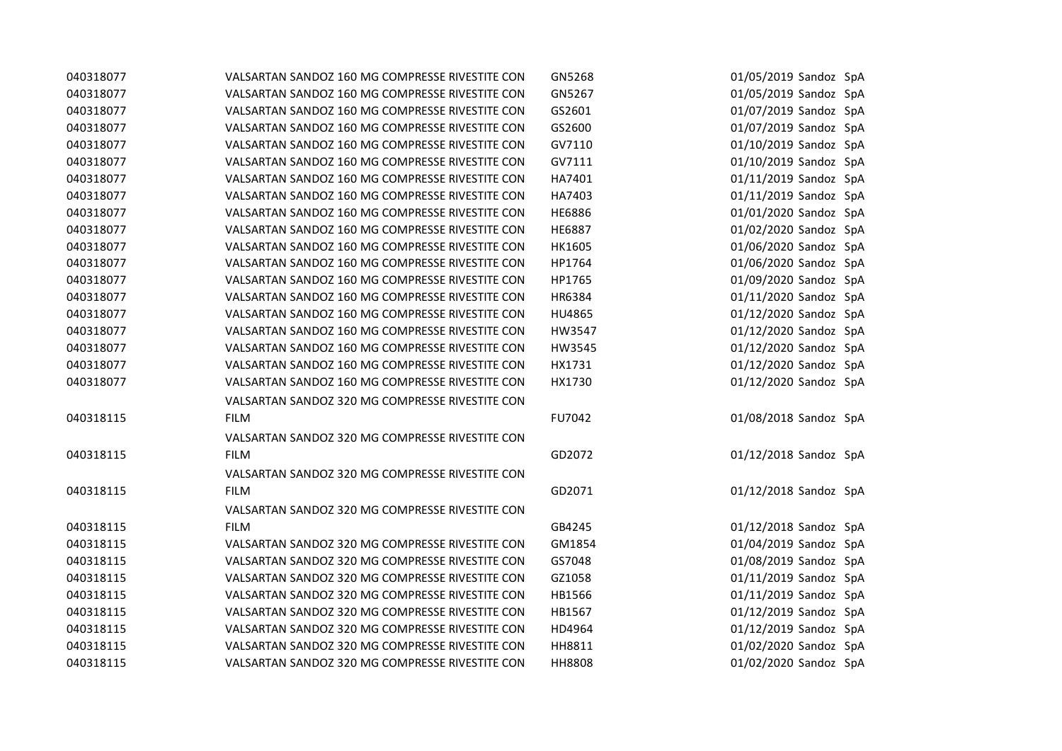| 040318077 | VALSARTAN SANDOZ 160 MG COMPRESSE RIVESTITE CON | GN5268        | 01/05/2019 Sandoz SpA |
|-----------|-------------------------------------------------|---------------|-----------------------|
| 040318077 | VALSARTAN SANDOZ 160 MG COMPRESSE RIVESTITE CON | GN5267        | 01/05/2019 Sandoz SpA |
| 040318077 | VALSARTAN SANDOZ 160 MG COMPRESSE RIVESTITE CON | GS2601        | 01/07/2019 Sandoz SpA |
| 040318077 | VALSARTAN SANDOZ 160 MG COMPRESSE RIVESTITE CON | GS2600        | 01/07/2019 Sandoz SpA |
| 040318077 | VALSARTAN SANDOZ 160 MG COMPRESSE RIVESTITE CON | GV7110        | 01/10/2019 Sandoz SpA |
| 040318077 | VALSARTAN SANDOZ 160 MG COMPRESSE RIVESTITE CON | GV7111        | 01/10/2019 Sandoz SpA |
| 040318077 | VALSARTAN SANDOZ 160 MG COMPRESSE RIVESTITE CON | HA7401        | 01/11/2019 Sandoz SpA |
| 040318077 | VALSARTAN SANDOZ 160 MG COMPRESSE RIVESTITE CON | HA7403        | 01/11/2019 Sandoz SpA |
| 040318077 | VALSARTAN SANDOZ 160 MG COMPRESSE RIVESTITE CON | HE6886        | 01/01/2020 Sandoz SpA |
| 040318077 | VALSARTAN SANDOZ 160 MG COMPRESSE RIVESTITE CON | <b>HE6887</b> | 01/02/2020 Sandoz SpA |
| 040318077 | VALSARTAN SANDOZ 160 MG COMPRESSE RIVESTITE CON | HK1605        | 01/06/2020 Sandoz SpA |
| 040318077 | VALSARTAN SANDOZ 160 MG COMPRESSE RIVESTITE CON | HP1764        | 01/06/2020 Sandoz SpA |
| 040318077 | VALSARTAN SANDOZ 160 MG COMPRESSE RIVESTITE CON | HP1765        | 01/09/2020 Sandoz SpA |
| 040318077 | VALSARTAN SANDOZ 160 MG COMPRESSE RIVESTITE CON | HR6384        | 01/11/2020 Sandoz SpA |
| 040318077 | VALSARTAN SANDOZ 160 MG COMPRESSE RIVESTITE CON | HU4865        | 01/12/2020 Sandoz SpA |
| 040318077 | VALSARTAN SANDOZ 160 MG COMPRESSE RIVESTITE CON | HW3547        | 01/12/2020 Sandoz SpA |
| 040318077 | VALSARTAN SANDOZ 160 MG COMPRESSE RIVESTITE CON | HW3545        | 01/12/2020 Sandoz SpA |
| 040318077 | VALSARTAN SANDOZ 160 MG COMPRESSE RIVESTITE CON | HX1731        | 01/12/2020 Sandoz SpA |
| 040318077 | VALSARTAN SANDOZ 160 MG COMPRESSE RIVESTITE CON | HX1730        | 01/12/2020 Sandoz SpA |
|           | VALSARTAN SANDOZ 320 MG COMPRESSE RIVESTITE CON |               |                       |
| 040318115 | <b>FILM</b>                                     | FU7042        | 01/08/2018 Sandoz SpA |
|           | VALSARTAN SANDOZ 320 MG COMPRESSE RIVESTITE CON |               |                       |
| 040318115 | <b>FILM</b>                                     | GD2072        | 01/12/2018 Sandoz SpA |
|           | VALSARTAN SANDOZ 320 MG COMPRESSE RIVESTITE CON |               |                       |
| 040318115 | <b>FILM</b>                                     | GD2071        | 01/12/2018 Sandoz SpA |
|           | VALSARTAN SANDOZ 320 MG COMPRESSE RIVESTITE CON |               |                       |
| 040318115 | <b>FILM</b>                                     | GB4245        | 01/12/2018 Sandoz SpA |
| 040318115 | VALSARTAN SANDOZ 320 MG COMPRESSE RIVESTITE CON | GM1854        | 01/04/2019 Sandoz SpA |
| 040318115 | VALSARTAN SANDOZ 320 MG COMPRESSE RIVESTITE CON | GS7048        | 01/08/2019 Sandoz SpA |
| 040318115 | VALSARTAN SANDOZ 320 MG COMPRESSE RIVESTITE CON | GZ1058        | 01/11/2019 Sandoz SpA |
| 040318115 | VALSARTAN SANDOZ 320 MG COMPRESSE RIVESTITE CON | HB1566        | 01/11/2019 Sandoz SpA |
| 040318115 | VALSARTAN SANDOZ 320 MG COMPRESSE RIVESTITE CON | HB1567        | 01/12/2019 Sandoz SpA |
| 040318115 | VALSARTAN SANDOZ 320 MG COMPRESSE RIVESTITE CON | HD4964        | 01/12/2019 Sandoz SpA |
| 040318115 | VALSARTAN SANDOZ 320 MG COMPRESSE RIVESTITE CON | HH8811        | 01/02/2020 Sandoz SpA |
| 040318115 | VALSARTAN SANDOZ 320 MG COMPRESSE RIVESTITE CON | <b>HH8808</b> | 01/02/2020 Sandoz SpA |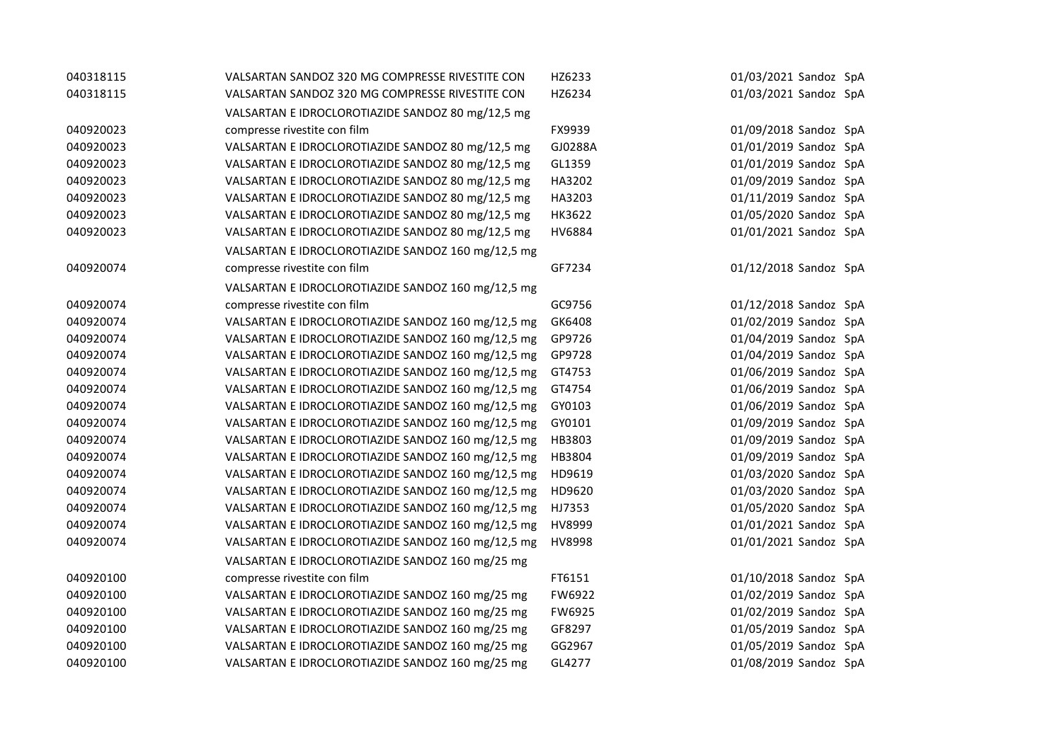| 040318115 | VALSARTAN SANDOZ 320 MG COMPRESSE RIVESTITE CON    | HZ6233  | 01/03/2021 Sandoz SpA |
|-----------|----------------------------------------------------|---------|-----------------------|
| 040318115 | VALSARTAN SANDOZ 320 MG COMPRESSE RIVESTITE CON    | HZ6234  | 01/03/2021 Sandoz SpA |
|           | VALSARTAN E IDROCLOROTIAZIDE SANDOZ 80 mg/12,5 mg  |         |                       |
| 040920023 | compresse rivestite con film                       | FX9939  | 01/09/2018 Sandoz SpA |
| 040920023 | VALSARTAN E IDROCLOROTIAZIDE SANDOZ 80 mg/12,5 mg  | GJ0288A | 01/01/2019 Sandoz SpA |
| 040920023 | VALSARTAN E IDROCLOROTIAZIDE SANDOZ 80 mg/12,5 mg  | GL1359  | 01/01/2019 Sandoz SpA |
| 040920023 | VALSARTAN E IDROCLOROTIAZIDE SANDOZ 80 mg/12,5 mg  | HA3202  | 01/09/2019 Sandoz SpA |
| 040920023 | VALSARTAN E IDROCLOROTIAZIDE SANDOZ 80 mg/12,5 mg  | HA3203  | 01/11/2019 Sandoz SpA |
| 040920023 | VALSARTAN E IDROCLOROTIAZIDE SANDOZ 80 mg/12,5 mg  | HK3622  | 01/05/2020 Sandoz SpA |
| 040920023 | VALSARTAN E IDROCLOROTIAZIDE SANDOZ 80 mg/12,5 mg  | HV6884  | 01/01/2021 Sandoz SpA |
|           | VALSARTAN E IDROCLOROTIAZIDE SANDOZ 160 mg/12,5 mg |         |                       |
| 040920074 | compresse rivestite con film                       | GF7234  | 01/12/2018 Sandoz SpA |
|           | VALSARTAN E IDROCLOROTIAZIDE SANDOZ 160 mg/12,5 mg |         |                       |
| 040920074 | compresse rivestite con film                       | GC9756  | 01/12/2018 Sandoz SpA |
| 040920074 | VALSARTAN E IDROCLOROTIAZIDE SANDOZ 160 mg/12,5 mg | GK6408  | 01/02/2019 Sandoz SpA |
| 040920074 | VALSARTAN E IDROCLOROTIAZIDE SANDOZ 160 mg/12,5 mg | GP9726  | 01/04/2019 Sandoz SpA |
| 040920074 | VALSARTAN E IDROCLOROTIAZIDE SANDOZ 160 mg/12,5 mg | GP9728  | 01/04/2019 Sandoz SpA |
| 040920074 | VALSARTAN E IDROCLOROTIAZIDE SANDOZ 160 mg/12,5 mg | GT4753  | 01/06/2019 Sandoz SpA |
| 040920074 | VALSARTAN E IDROCLOROTIAZIDE SANDOZ 160 mg/12,5 mg | GT4754  | 01/06/2019 Sandoz SpA |
| 040920074 | VALSARTAN E IDROCLOROTIAZIDE SANDOZ 160 mg/12,5 mg | GY0103  | 01/06/2019 Sandoz SpA |
| 040920074 | VALSARTAN E IDROCLOROTIAZIDE SANDOZ 160 mg/12,5 mg | GY0101  | 01/09/2019 Sandoz SpA |
| 040920074 | VALSARTAN E IDROCLOROTIAZIDE SANDOZ 160 mg/12,5 mg | HB3803  | 01/09/2019 Sandoz SpA |
| 040920074 | VALSARTAN E IDROCLOROTIAZIDE SANDOZ 160 mg/12,5 mg | HB3804  | 01/09/2019 Sandoz SpA |
| 040920074 | VALSARTAN E IDROCLOROTIAZIDE SANDOZ 160 mg/12,5 mg | HD9619  | 01/03/2020 Sandoz SpA |
| 040920074 | VALSARTAN E IDROCLOROTIAZIDE SANDOZ 160 mg/12,5 mg | HD9620  | 01/03/2020 Sandoz SpA |
| 040920074 | VALSARTAN E IDROCLOROTIAZIDE SANDOZ 160 mg/12,5 mg | HJ7353  | 01/05/2020 Sandoz SpA |
| 040920074 | VALSARTAN E IDROCLOROTIAZIDE SANDOZ 160 mg/12,5 mg | HV8999  | 01/01/2021 Sandoz SpA |
| 040920074 | VALSARTAN E IDROCLOROTIAZIDE SANDOZ 160 mg/12,5 mg | HV8998  | 01/01/2021 Sandoz SpA |
|           | VALSARTAN E IDROCLOROTIAZIDE SANDOZ 160 mg/25 mg   |         |                       |
| 040920100 | compresse rivestite con film                       | FT6151  | 01/10/2018 Sandoz SpA |
| 040920100 | VALSARTAN E IDROCLOROTIAZIDE SANDOZ 160 mg/25 mg   | FW6922  | 01/02/2019 Sandoz SpA |
| 040920100 | VALSARTAN E IDROCLOROTIAZIDE SANDOZ 160 mg/25 mg   | FW6925  | 01/02/2019 Sandoz SpA |
| 040920100 | VALSARTAN E IDROCLOROTIAZIDE SANDOZ 160 mg/25 mg   | GF8297  | 01/05/2019 Sandoz SpA |
| 040920100 | VALSARTAN E IDROCLOROTIAZIDE SANDOZ 160 mg/25 mg   | GG2967  | 01/05/2019 Sandoz SpA |
| 040920100 | VALSARTAN E IDROCLOROTIAZIDE SANDOZ 160 mg/25 mg   | GL4277  | 01/08/2019 Sandoz SpA |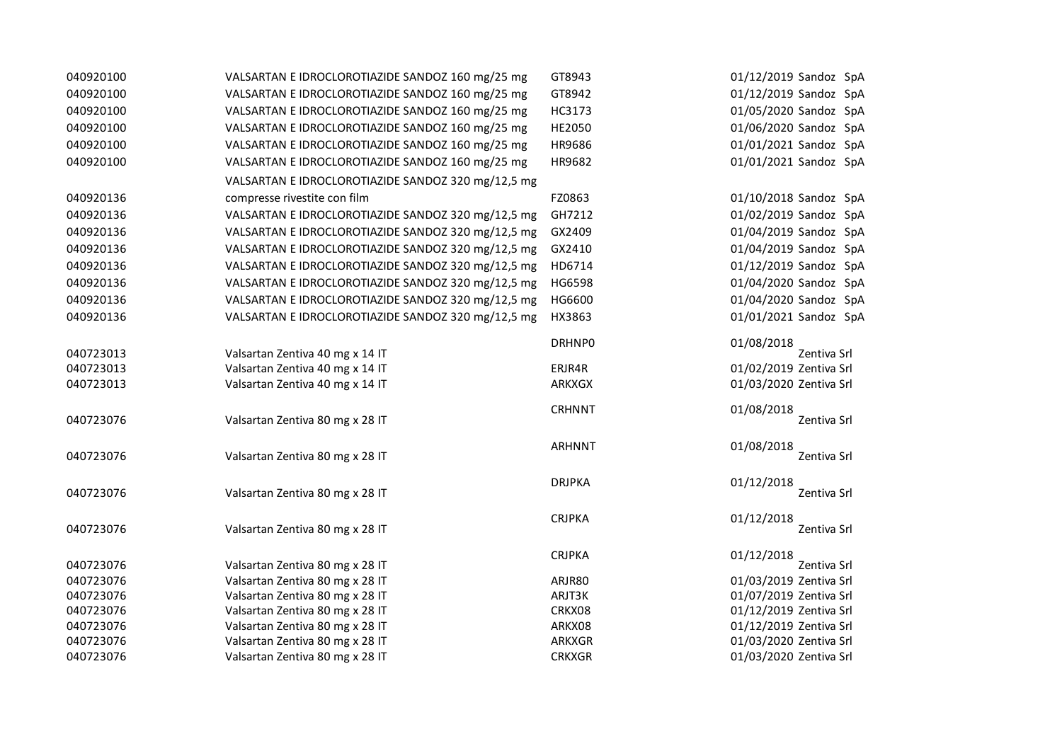| 040920100 | VALSARTAN E IDROCLOROTIAZIDE SANDOZ 160 mg/25 mg   | GT8943        | 01/12/2019 Sandoz SpA     |
|-----------|----------------------------------------------------|---------------|---------------------------|
| 040920100 | VALSARTAN E IDROCLOROTIAZIDE SANDOZ 160 mg/25 mg   | GT8942        | 01/12/2019 Sandoz SpA     |
| 040920100 | VALSARTAN E IDROCLOROTIAZIDE SANDOZ 160 mg/25 mg   | HC3173        | 01/05/2020 Sandoz SpA     |
| 040920100 | VALSARTAN E IDROCLOROTIAZIDE SANDOZ 160 mg/25 mg   | HE2050        | 01/06/2020 Sandoz SpA     |
| 040920100 | VALSARTAN E IDROCLOROTIAZIDE SANDOZ 160 mg/25 mg   | HR9686        | 01/01/2021 Sandoz SpA     |
| 040920100 | VALSARTAN E IDROCLOROTIAZIDE SANDOZ 160 mg/25 mg   | HR9682        | 01/01/2021 Sandoz SpA     |
|           | VALSARTAN E IDROCLOROTIAZIDE SANDOZ 320 mg/12,5 mg |               |                           |
| 040920136 | compresse rivestite con film                       | FZ0863        | 01/10/2018 Sandoz SpA     |
| 040920136 | VALSARTAN E IDROCLOROTIAZIDE SANDOZ 320 mg/12,5 mg | GH7212        | 01/02/2019 Sandoz SpA     |
|           |                                                    |               |                           |
| 040920136 | VALSARTAN E IDROCLOROTIAZIDE SANDOZ 320 mg/12,5 mg | GX2409        | 01/04/2019 Sandoz SpA     |
| 040920136 | VALSARTAN E IDROCLOROTIAZIDE SANDOZ 320 mg/12,5 mg | GX2410        | 01/04/2019 Sandoz SpA     |
| 040920136 | VALSARTAN E IDROCLOROTIAZIDE SANDOZ 320 mg/12,5 mg | HD6714        | 01/12/2019 Sandoz SpA     |
| 040920136 | VALSARTAN E IDROCLOROTIAZIDE SANDOZ 320 mg/12,5 mg | HG6598        | 01/04/2020 Sandoz SpA     |
| 040920136 | VALSARTAN E IDROCLOROTIAZIDE SANDOZ 320 mg/12,5 mg | HG6600        | 01/04/2020 Sandoz SpA     |
| 040920136 | VALSARTAN E IDROCLOROTIAZIDE SANDOZ 320 mg/12,5 mg | HX3863        | 01/01/2021 Sandoz SpA     |
|           |                                                    | <b>DRHNPO</b> | 01/08/2018                |
| 040723013 | Valsartan Zentiva 40 mg x 14 IT                    |               | Zentiva Srl               |
| 040723013 | Valsartan Zentiva 40 mg x 14 IT                    | ERJR4R        | 01/02/2019 Zentiva Srl    |
| 040723013 | Valsartan Zentiva 40 mg x 14 IT                    | <b>ARKXGX</b> | 01/03/2020 Zentiva Srl    |
| 040723076 | Valsartan Zentiva 80 mg x 28 IT                    | <b>CRHNNT</b> | 01/08/2018<br>Zentiva Srl |
|           |                                                    |               |                           |
| 040723076 | Valsartan Zentiva 80 mg x 28 IT                    | <b>ARHNNT</b> | 01/08/2018<br>Zentiva Srl |
|           |                                                    | <b>DRJPKA</b> |                           |
| 040723076 | Valsartan Zentiva 80 mg x 28 IT                    |               | 01/12/2018<br>Zentiva Srl |
|           |                                                    | <b>CRJPKA</b> | 01/12/2018                |
| 040723076 | Valsartan Zentiva 80 mg x 28 IT                    |               | Zentiva Srl               |
| 040723076 | Valsartan Zentiva 80 mg x 28 IT                    | <b>CRJPKA</b> | 01/12/2018<br>Zentiva Srl |
| 040723076 | Valsartan Zentiva 80 mg x 28 IT                    | ARJR80        | 01/03/2019 Zentiva Srl    |
| 040723076 | Valsartan Zentiva 80 mg x 28 IT                    | ARJT3K        | 01/07/2019 Zentiva Srl    |
| 040723076 | Valsartan Zentiva 80 mg x 28 IT                    | CRKX08        | 01/12/2019 Zentiva Srl    |
| 040723076 | Valsartan Zentiva 80 mg x 28 IT                    | ARKX08        | 01/12/2019 Zentiva Srl    |
| 040723076 | Valsartan Zentiva 80 mg x 28 IT                    | <b>ARKXGR</b> | 01/03/2020 Zentiva Srl    |
| 040723076 | Valsartan Zentiva 80 mg x 28 IT                    | <b>CRKXGR</b> | 01/03/2020 Zentiva Srl    |
|           |                                                    |               |                           |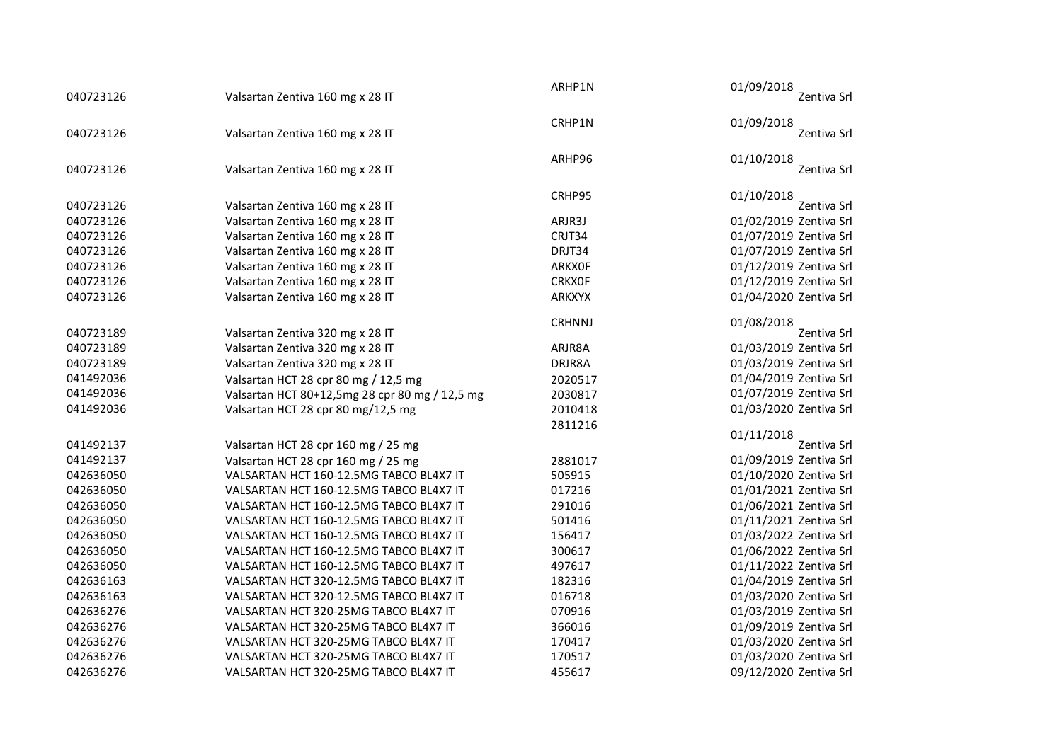| 040723126 | Valsartan Zentiva 160 mg x 28 IT                                     | ARHP1N                         | 01/09/2018<br>Zentiva Srl                        |
|-----------|----------------------------------------------------------------------|--------------------------------|--------------------------------------------------|
| 040723126 | Valsartan Zentiva 160 mg x 28 IT                                     | CRHP1N                         | 01/09/2018<br>Zentiva Srl                        |
| 040723126 | Valsartan Zentiva 160 mg x 28 IT                                     | ARHP96                         | 01/10/2018<br>Zentiva Srl                        |
| 040723126 | Valsartan Zentiva 160 mg x 28 IT                                     | CRHP95                         | 01/10/2018<br>Zentiva Srl                        |
| 040723126 | Valsartan Zentiva 160 mg x 28 IT                                     | ARJR3J                         | 01/02/2019 Zentiva Srl                           |
| 040723126 | Valsartan Zentiva 160 mg x 28 IT                                     | CRJT34                         | 01/07/2019 Zentiva Srl                           |
| 040723126 | Valsartan Zentiva 160 mg x 28 IT                                     | DRJT34                         | 01/07/2019 Zentiva Srl                           |
| 040723126 |                                                                      |                                |                                                  |
| 040723126 | Valsartan Zentiva 160 mg x 28 IT<br>Valsartan Zentiva 160 mg x 28 IT | <b>ARKXOF</b><br><b>CRKXOF</b> | 01/12/2019 Zentiva Srl<br>01/12/2019 Zentiva Srl |
|           |                                                                      |                                |                                                  |
| 040723126 | Valsartan Zentiva 160 mg x 28 IT                                     | <b>ARKXYX</b>                  | 01/04/2020 Zentiva Srl                           |
|           |                                                                      | <b>CRHNNJ</b>                  | 01/08/2018                                       |
| 040723189 | Valsartan Zentiva 320 mg x 28 IT                                     |                                | Zentiva Srl                                      |
| 040723189 | Valsartan Zentiva 320 mg x 28 IT                                     | ARJR8A                         | 01/03/2019 Zentiva Srl                           |
| 040723189 | Valsartan Zentiva 320 mg x 28 IT                                     | DRJR8A                         | 01/03/2019 Zentiva Srl                           |
| 041492036 | Valsartan HCT 28 cpr 80 mg / 12,5 mg                                 | 2020517                        | 01/04/2019 Zentiva Srl                           |
| 041492036 | Valsartan HCT 80+12,5mg 28 cpr 80 mg / 12,5 mg                       | 2030817                        | 01/07/2019 Zentiva Srl                           |
| 041492036 | Valsartan HCT 28 cpr 80 mg/12,5 mg                                   | 2010418                        | 01/03/2020 Zentiva Srl                           |
|           |                                                                      | 2811216                        |                                                  |
| 041492137 | Valsartan HCT 28 cpr 160 mg / 25 mg                                  |                                | 01/11/2018<br>Zentiva Srl                        |
| 041492137 | Valsartan HCT 28 cpr 160 mg / 25 mg                                  | 2881017                        | 01/09/2019 Zentiva Srl                           |
| 042636050 | VALSARTAN HCT 160-12.5MG TABCO BL4X7 IT                              | 505915                         | 01/10/2020 Zentiva Srl                           |
| 042636050 | VALSARTAN HCT 160-12.5MG TABCO BL4X7 IT                              | 017216                         | 01/01/2021 Zentiva Srl                           |
| 042636050 | VALSARTAN HCT 160-12.5MG TABCO BL4X7 IT                              | 291016                         | 01/06/2021 Zentiva Srl                           |
| 042636050 | VALSARTAN HCT 160-12.5MG TABCO BL4X7 IT                              | 501416                         | 01/11/2021 Zentiva Srl                           |
| 042636050 | VALSARTAN HCT 160-12.5MG TABCO BL4X7 IT                              | 156417                         | 01/03/2022 Zentiva Srl                           |
| 042636050 | VALSARTAN HCT 160-12.5MG TABCO BL4X7 IT                              | 300617                         | 01/06/2022 Zentiva Srl                           |
| 042636050 | VALSARTAN HCT 160-12.5MG TABCO BL4X7 IT                              | 497617                         | 01/11/2022 Zentiva Srl                           |
| 042636163 | VALSARTAN HCT 320-12.5MG TABCO BL4X7 IT                              | 182316                         | 01/04/2019 Zentiva Srl                           |
| 042636163 | VALSARTAN HCT 320-12.5MG TABCO BL4X7 IT                              | 016718                         | 01/03/2020 Zentiva Srl                           |
| 042636276 | VALSARTAN HCT 320-25MG TABCO BL4X7 IT                                | 070916                         | 01/03/2019 Zentiva Srl                           |
| 042636276 | VALSARTAN HCT 320-25MG TABCO BL4X7 IT                                | 366016                         | 01/09/2019 Zentiva Srl                           |
| 042636276 | VALSARTAN HCT 320-25MG TABCO BL4X7 IT                                | 170417                         | 01/03/2020 Zentiva Srl                           |
| 042636276 | VALSARTAN HCT 320-25MG TABCO BL4X7 IT                                | 170517                         | 01/03/2020 Zentiva Srl                           |
| 042636276 | VALSARTAN HCT 320-25MG TABCO BL4X7 IT                                | 455617                         | 09/12/2020 Zentiva Srl                           |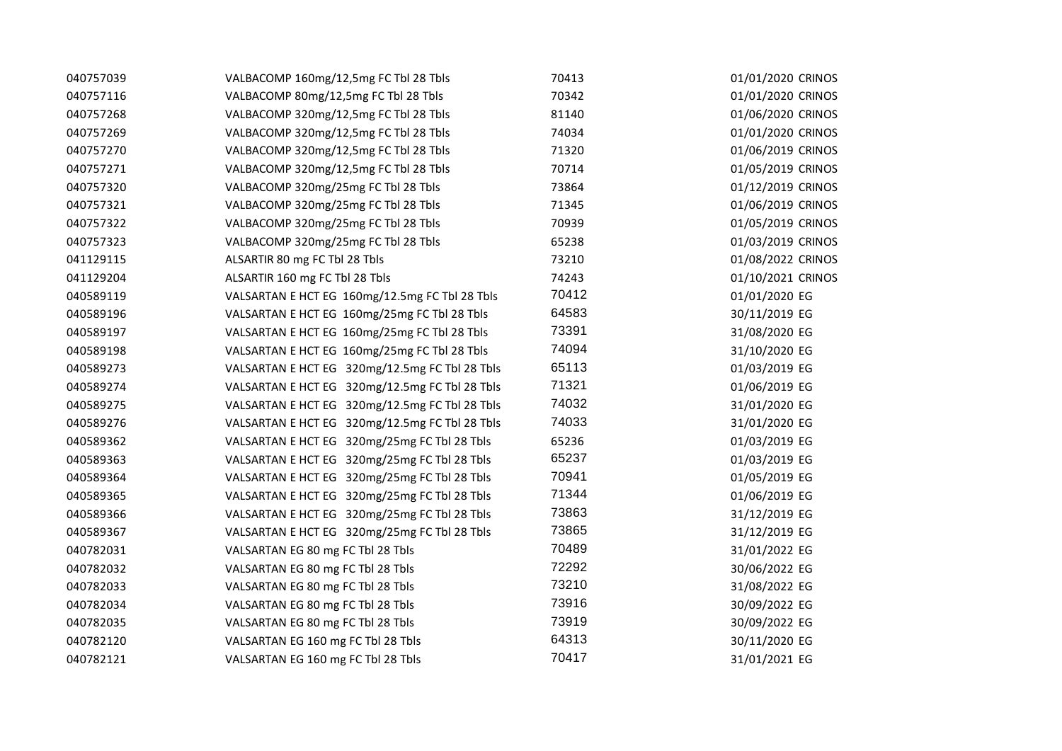| 040757039 | VALBACOMP 160mg/12,5mg FC Tbl 28 Tbls          | 70413 | 01/01/2020 CRINOS |
|-----------|------------------------------------------------|-------|-------------------|
| 040757116 | VALBACOMP 80mg/12,5mg FC Tbl 28 Tbls           | 70342 | 01/01/2020 CRINOS |
| 040757268 | VALBACOMP 320mg/12,5mg FC Tbl 28 Tbls          | 81140 | 01/06/2020 CRINOS |
| 040757269 | VALBACOMP 320mg/12,5mg FC Tbl 28 Tbls          | 74034 | 01/01/2020 CRINOS |
| 040757270 | VALBACOMP 320mg/12,5mg FC Tbl 28 Tbls          | 71320 | 01/06/2019 CRINOS |
| 040757271 | VALBACOMP 320mg/12,5mg FC Tbl 28 Tbls          | 70714 | 01/05/2019 CRINOS |
| 040757320 | VALBACOMP 320mg/25mg FC Tbl 28 Tbls            | 73864 | 01/12/2019 CRINOS |
| 040757321 | VALBACOMP 320mg/25mg FC Tbl 28 Tbls            | 71345 | 01/06/2019 CRINOS |
| 040757322 | VALBACOMP 320mg/25mg FC Tbl 28 Tbls            | 70939 | 01/05/2019 CRINOS |
| 040757323 | VALBACOMP 320mg/25mg FC Tbl 28 Tbls            | 65238 | 01/03/2019 CRINOS |
| 041129115 | ALSARTIR 80 mg FC Tbl 28 Tbls                  | 73210 | 01/08/2022 CRINOS |
| 041129204 | ALSARTIR 160 mg FC Tbl 28 Tbls                 | 74243 | 01/10/2021 CRINOS |
| 040589119 | VALSARTAN E HCT EG 160mg/12.5mg FC Tbl 28 Tbls | 70412 | 01/01/2020 EG     |
| 040589196 | VALSARTAN E HCT EG 160mg/25mg FC Tbl 28 Tbls   | 64583 | 30/11/2019 EG     |
| 040589197 | VALSARTAN E HCT EG 160mg/25mg FC Tbl 28 Tbls   | 73391 | 31/08/2020 EG     |
| 040589198 | VALSARTAN E HCT EG 160mg/25mg FC Tbl 28 Tbls   | 74094 | 31/10/2020 EG     |
| 040589273 | VALSARTAN E HCT EG 320mg/12.5mg FC Tbl 28 Tbls | 65113 | 01/03/2019 EG     |
| 040589274 | VALSARTAN E HCT EG 320mg/12.5mg FC Tbl 28 Tbls | 71321 | 01/06/2019 EG     |
| 040589275 | VALSARTAN E HCT EG 320mg/12.5mg FC Tbl 28 Tbls | 74032 | 31/01/2020 EG     |
| 040589276 | VALSARTAN E HCT EG 320mg/12.5mg FC Tbl 28 Tbls | 74033 | 31/01/2020 EG     |
| 040589362 | VALSARTAN E HCT EG 320mg/25mg FC Tbl 28 Tbls   | 65236 | 01/03/2019 EG     |
| 040589363 | VALSARTAN E HCT EG 320mg/25mg FC Tbl 28 Tbls   | 65237 | 01/03/2019 EG     |
| 040589364 | VALSARTAN E HCT EG 320mg/25mg FC Tbl 28 Tbls   | 70941 | 01/05/2019 EG     |
| 040589365 | VALSARTAN E HCT EG 320mg/25mg FC Tbl 28 Tbls   | 71344 | 01/06/2019 EG     |
| 040589366 | VALSARTAN E HCT EG 320mg/25mg FC Tbl 28 Tbls   | 73863 | 31/12/2019 EG     |
| 040589367 | VALSARTAN E HCT EG 320mg/25mg FC Tbl 28 Tbls   | 73865 | 31/12/2019 EG     |
| 040782031 | VALSARTAN EG 80 mg FC Tbl 28 Tbls              | 70489 | 31/01/2022 EG     |
| 040782032 | VALSARTAN EG 80 mg FC Tbl 28 Tbls              | 72292 | 30/06/2022 EG     |
| 040782033 | VALSARTAN EG 80 mg FC Tbl 28 Tbls              | 73210 | 31/08/2022 EG     |
| 040782034 | VALSARTAN EG 80 mg FC Tbl 28 Tbls              | 73916 | 30/09/2022 EG     |
| 040782035 | VALSARTAN EG 80 mg FC Tbl 28 Tbls              | 73919 | 30/09/2022 EG     |
| 040782120 | VALSARTAN EG 160 mg FC Tbl 28 Tbls             | 64313 | 30/11/2020 EG     |
| 040782121 | VALSARTAN EG 160 mg FC Tbl 28 Tbls             | 70417 | 31/01/2021 EG     |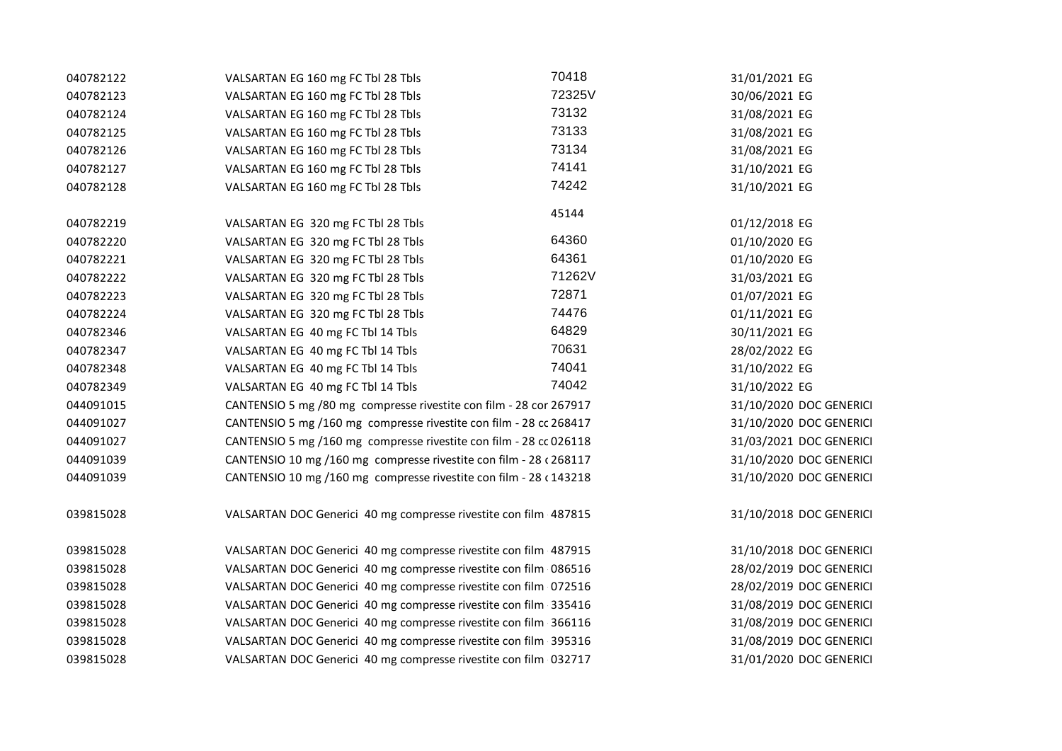| 040782122 | VALSARTAN EG 160 mg FC Tbl 28 Tbls                                 | 70418  | 31/01/2021 EG           |
|-----------|--------------------------------------------------------------------|--------|-------------------------|
| 040782123 | VALSARTAN EG 160 mg FC Tbl 28 Tbls                                 | 72325V | 30/06/2021 EG           |
| 040782124 | VALSARTAN EG 160 mg FC Tbl 28 Tbls                                 | 73132  | 31/08/2021 EG           |
| 040782125 | VALSARTAN EG 160 mg FC Tbl 28 Tbls                                 | 73133  | 31/08/2021 EG           |
| 040782126 | VALSARTAN EG 160 mg FC Tbl 28 Tbls                                 | 73134  | 31/08/2021 EG           |
| 040782127 | VALSARTAN EG 160 mg FC Tbl 28 Tbls                                 | 74141  | 31/10/2021 EG           |
| 040782128 | VALSARTAN EG 160 mg FC Tbl 28 Tbls                                 | 74242  | 31/10/2021 EG           |
| 040782219 | VALSARTAN EG 320 mg FC Tbl 28 Tbls                                 | 45144  | 01/12/2018 EG           |
| 040782220 | VALSARTAN EG 320 mg FC Tbl 28 Tbls                                 | 64360  | 01/10/2020 EG           |
| 040782221 | VALSARTAN EG 320 mg FC Tbl 28 Tbls                                 | 64361  | 01/10/2020 EG           |
| 040782222 | VALSARTAN EG 320 mg FC Tbl 28 Tbls                                 | 71262V | 31/03/2021 EG           |
| 040782223 | VALSARTAN EG 320 mg FC Tbl 28 Tbls                                 | 72871  | 01/07/2021 EG           |
| 040782224 | VALSARTAN EG 320 mg FC Tbl 28 Tbls                                 | 74476  | 01/11/2021 EG           |
| 040782346 | VALSARTAN EG 40 mg FC Tbl 14 Tbls                                  | 64829  | 30/11/2021 EG           |
| 040782347 | VALSARTAN EG 40 mg FC Tbl 14 Tbls                                  | 70631  | 28/02/2022 EG           |
| 040782348 | VALSARTAN EG 40 mg FC Tbl 14 Tbls                                  | 74041  | 31/10/2022 EG           |
| 040782349 | VALSARTAN EG 40 mg FC Tbl 14 Tbls                                  | 74042  | 31/10/2022 EG           |
| 044091015 | CANTENSIO 5 mg /80 mg compresse rivestite con film - 28 cor 267917 |        | 31/10/2020 DOC GENERICI |
| 044091027 | CANTENSIO 5 mg /160 mg compresse rivestite con film - 28 cc 268417 |        | 31/10/2020 DOC GENERICI |
| 044091027 | CANTENSIO 5 mg /160 mg compresse rivestite con film - 28 cc 026118 |        | 31/03/2021 DOC GENERICI |
| 044091039 | CANTENSIO 10 mg /160 mg compresse rivestite con film - 28 c 268117 |        | 31/10/2020 DOC GENERICI |
| 044091039 | CANTENSIO 10 mg /160 mg compresse rivestite con film - 28 c 143218 |        | 31/10/2020 DOC GENERICI |
| 039815028 | VALSARTAN DOC Generici 40 mg compresse rivestite con film 487815   |        | 31/10/2018 DOC GENERICI |
| 039815028 | VALSARTAN DOC Generici 40 mg compresse rivestite con film 487915   |        | 31/10/2018 DOC GENERICI |
| 039815028 | VALSARTAN DOC Generici 40 mg compresse rivestite con film 086516   |        | 28/02/2019 DOC GENERICI |
| 039815028 | VALSARTAN DOC Generici 40 mg compresse rivestite con film 072516   |        | 28/02/2019 DOC GENERICI |
| 039815028 | VALSARTAN DOC Generici 40 mg compresse rivestite con film 335416   |        | 31/08/2019 DOC GENERICI |
| 039815028 | VALSARTAN DOC Generici 40 mg compresse rivestite con film 366116   |        | 31/08/2019 DOC GENERICI |
| 039815028 | VALSARTAN DOC Generici 40 mg compresse rivestite con film 395316   |        | 31/08/2019 DOC GENERICI |
| 039815028 | VALSARTAN DOC Generici 40 mg compresse rivestite con film 032717   |        | 31/01/2020 DOC GENERICI |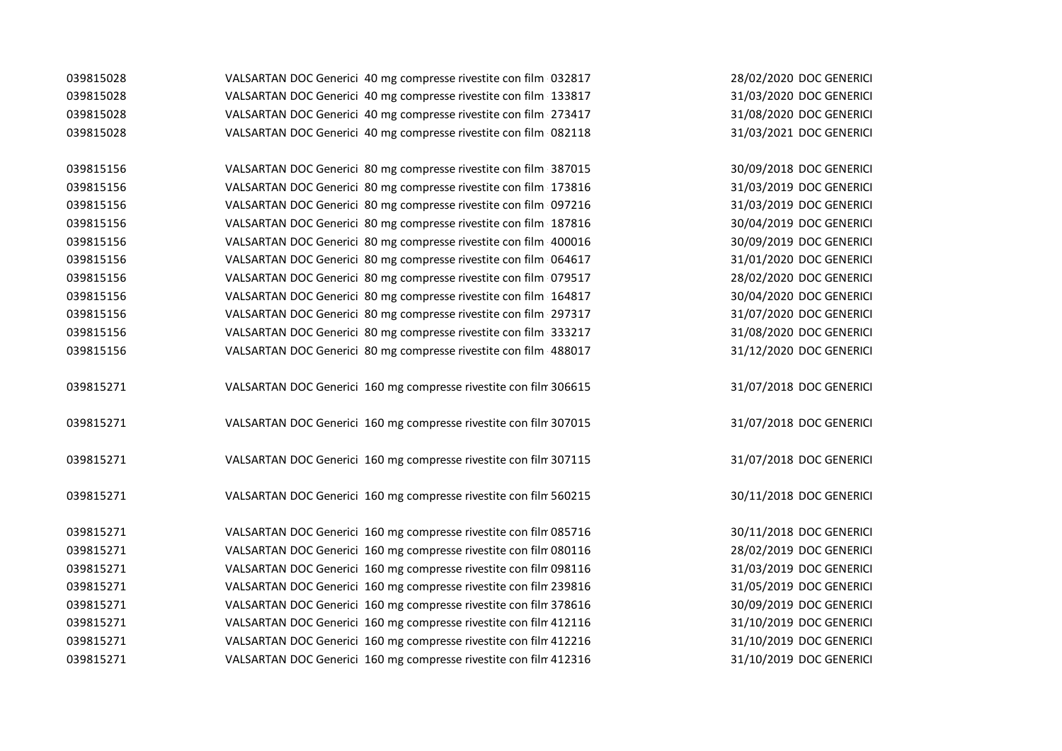| 039815028 | VALSARTAN DOC Generici 40 mg compresse rivestite con film 032817  | 28/02/2020 DOC GENERICI |
|-----------|-------------------------------------------------------------------|-------------------------|
| 039815028 | VALSARTAN DOC Generici 40 mg compresse rivestite con film 133817  | 31/03/2020 DOC GENERICI |
| 039815028 | VALSARTAN DOC Generici 40 mg compresse rivestite con film 273417  | 31/08/2020 DOC GENERICI |
| 039815028 | VALSARTAN DOC Generici 40 mg compresse rivestite con film 082118  | 31/03/2021 DOC GENERICI |
|           |                                                                   |                         |
| 039815156 | VALSARTAN DOC Generici 80 mg compresse rivestite con film 387015  | 30/09/2018 DOC GENERICI |
| 039815156 | VALSARTAN DOC Generici 80 mg compresse rivestite con film 173816  | 31/03/2019 DOC GENERICI |
| 039815156 | VALSARTAN DOC Generici 80 mg compresse rivestite con film 097216  | 31/03/2019 DOC GENERICI |
| 039815156 | VALSARTAN DOC Generici 80 mg compresse rivestite con film 187816  | 30/04/2019 DOC GENERICI |
| 039815156 | VALSARTAN DOC Generici 80 mg compresse rivestite con film 400016  | 30/09/2019 DOC GENERICI |
| 039815156 | VALSARTAN DOC Generici 80 mg compresse rivestite con film 064617  | 31/01/2020 DOC GENERICI |
| 039815156 | VALSARTAN DOC Generici 80 mg compresse rivestite con film 079517  | 28/02/2020 DOC GENERICI |
| 039815156 | VALSARTAN DOC Generici 80 mg compresse rivestite con film 164817  | 30/04/2020 DOC GENERICI |
| 039815156 | VALSARTAN DOC Generici 80 mg compresse rivestite con film 297317  | 31/07/2020 DOC GENERICI |
| 039815156 | VALSARTAN DOC Generici 80 mg compresse rivestite con film 333217  | 31/08/2020 DOC GENERICI |
| 039815156 | VALSARTAN DOC Generici 80 mg compresse rivestite con film 488017  | 31/12/2020 DOC GENERICI |
|           |                                                                   |                         |
| 039815271 | VALSARTAN DOC Generici 160 mg compresse rivestite con film 306615 | 31/07/2018 DOC GENERICI |
|           |                                                                   |                         |
| 039815271 | VALSARTAN DOC Generici 160 mg compresse rivestite con film 307015 | 31/07/2018 DOC GENERICI |
|           |                                                                   |                         |
| 039815271 | VALSARTAN DOC Generici 160 mg compresse rivestite con film 307115 | 31/07/2018 DOC GENERICI |
|           |                                                                   |                         |
| 039815271 | VALSARTAN DOC Generici 160 mg compresse rivestite con film 560215 | 30/11/2018 DOC GENERICI |
|           |                                                                   |                         |
| 039815271 | VALSARTAN DOC Generici 160 mg compresse rivestite con film 085716 | 30/11/2018 DOC GENERICI |
| 039815271 | VALSARTAN DOC Generici 160 mg compresse rivestite con film 080116 | 28/02/2019 DOC GENERICI |
| 039815271 | VALSARTAN DOC Generici 160 mg compresse rivestite con film 098116 | 31/03/2019 DOC GENERICI |
| 039815271 | VALSARTAN DOC Generici 160 mg compresse rivestite con film 239816 | 31/05/2019 DOC GENERICI |
| 039815271 | VALSARTAN DOC Generici 160 mg compresse rivestite con film 378616 | 30/09/2019 DOC GENERICI |
| 039815271 | VALSARTAN DOC Generici 160 mg compresse rivestite con film 412116 | 31/10/2019 DOC GENERICI |
| 039815271 | VALSARTAN DOC Generici 160 mg compresse rivestite con film 412216 | 31/10/2019 DOC GENERICI |
| 039815271 | VALSARTAN DOC Generici 160 mg compresse rivestite con film 412316 | 31/10/2019 DOC GENERICI |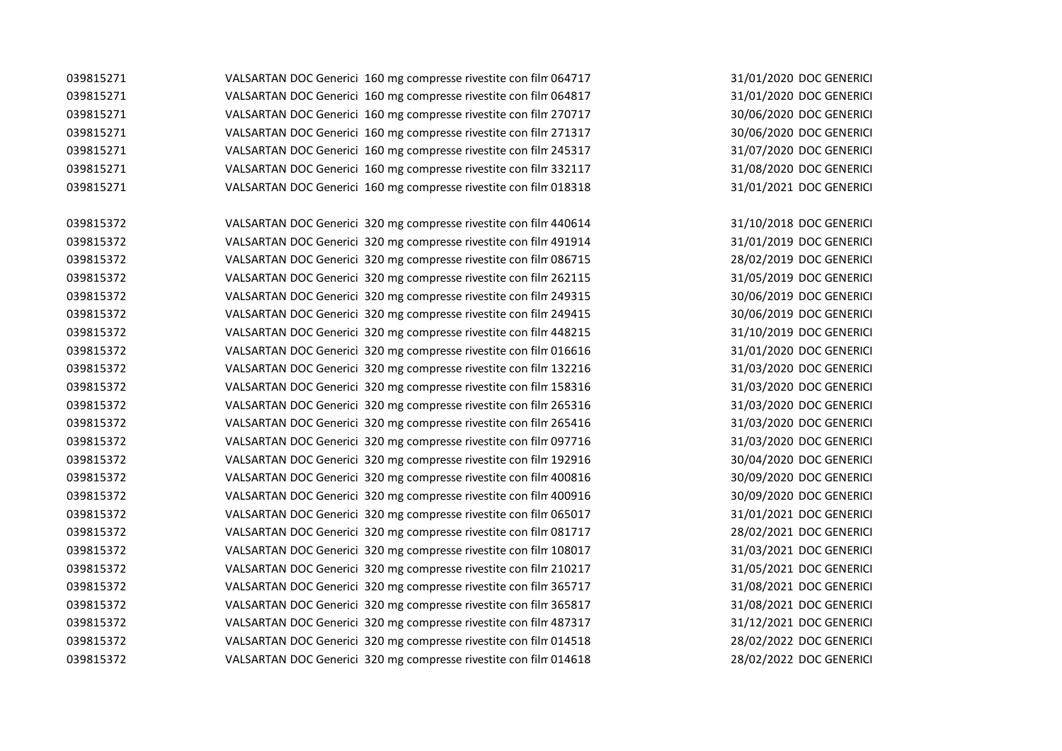| 039815271 | VALSARTAN DOC Generici 160 mg compresse rivestite con film 064717 | 31/01/2020 DOC GENERICI |
|-----------|-------------------------------------------------------------------|-------------------------|
| 039815271 | VALSARTAN DOC Generici 160 mg compresse rivestite con film 064817 | 31/01/2020 DOC GENERICI |
| 039815271 | VALSARTAN DOC Generici 160 mg compresse rivestite con film 270717 | 30/06/2020 DOC GENERICI |
| 039815271 | VALSARTAN DOC Generici 160 mg compresse rivestite con film 271317 | 30/06/2020 DOC GENERICI |
| 039815271 | VALSARTAN DOC Generici 160 mg compresse rivestite con film 245317 | 31/07/2020 DOC GENERICI |
| 039815271 | VALSARTAN DOC Generici 160 mg compresse rivestite con film 332117 | 31/08/2020 DOC GENERICI |
| 039815271 | VALSARTAN DOC Generici 160 mg compresse rivestite con film 018318 | 31/01/2021 DOC GENERICI |
| 039815372 | VALSARTAN DOC Generici 320 mg compresse rivestite con film 440614 | 31/10/2018 DOC GENERICI |
| 039815372 | VALSARTAN DOC Generici 320 mg compresse rivestite con film 491914 | 31/01/2019 DOC GENERICI |
| 039815372 | VALSARTAN DOC Generici 320 mg compresse rivestite con film 086715 | 28/02/2019 DOC GENERICI |
| 039815372 | VALSARTAN DOC Generici 320 mg compresse rivestite con film 262115 | 31/05/2019 DOC GENERICI |
| 039815372 | VALSARTAN DOC Generici 320 mg compresse rivestite con film 249315 | 30/06/2019 DOC GENERICI |
| 039815372 | VALSARTAN DOC Generici 320 mg compresse rivestite con film 249415 | 30/06/2019 DOC GENERICI |
| 039815372 | VALSARTAN DOC Generici 320 mg compresse rivestite con film 448215 | 31/10/2019 DOC GENERICI |
| 039815372 | VALSARTAN DOC Generici 320 mg compresse rivestite con film 016616 | 31/01/2020 DOC GENERICI |
| 039815372 | VALSARTAN DOC Generici 320 mg compresse rivestite con film 132216 | 31/03/2020 DOC GENERICI |
| 039815372 | VALSARTAN DOC Generici 320 mg compresse rivestite con film 158316 | 31/03/2020 DOC GENERICI |
| 039815372 | VALSARTAN DOC Generici 320 mg compresse rivestite con film 265316 | 31/03/2020 DOC GENERICI |
| 039815372 | VALSARTAN DOC Generici 320 mg compresse rivestite con film 265416 | 31/03/2020 DOC GENERICI |
|           |                                                                   |                         |

31/01/2020 DOC GENERICI 30/06/2020 DOC GENERICI 30/06/2020 DOC GENERICI 31/07/2020 DOC GENERICI 31/08/2020 DOC GENERICI 31/01/2021 DOC GENERICI 31/10/2018 DOC GENERICI 31/01/2019 DOC GENERICI 28/02/2019 DOC GENERICI 31/05/2019 DOC GENERICI 30/06/2019 DOC GENERICI 30/06/2019 DOC GENERICI 31/10/2019 DOC GENERICI 31/01/2020 DOC GENERICI 31/03/2020 DOC GENERICI 31/03/2020 DOC GENERICI 31/03/2020 DOC GENERICI 31/03/2020 DOC GENERICI 039815372 VALSARTAN DOC Generici 320 mg compresse rivestite con film 097716 31/03/2020 DOC GENERICI 039815372 VALSARTAN DOC Generici 320 mg compresse rivestite con film 192916 30/04/2020 DOC GENERICI 039815372 VALSARTAN DOC Generici 320 mg compresse rivestite con film 400816 30/09/2020 DOC GENERICI 039815372 VALSARTAN DOC Generici 320 mg compresse rivestite con film 400916 30/09/2020 DOC GENERICI 039815372 VALSARTAN DOC Generici 320 mg compresse rivestite con film 065017 31/01/2021 DOC GENERICI 039815372 VALSARTAN DOC Generici 320 mg compresse rivestite con film 081717 28/02/2021 DOC GENERICI 039815372 VALSARTAN DOC Generici 320 mg compresse rivestite con film 108017 31/03/2021 DOC GENERICI 039815372 VALSARTAN DOC Generici 320 mg compresse rivestite con film 210217 31/05/2021 DOC GENERICI 039815372 VALSARTAN DOC Generici 320 mg compresse rivestite con film 365717 31/08/2021 DOC GENERICI 039815372 VALSARTAN DOC Generici 320 mg compresse rivestite con film 365817 31/08/2021 DOC GENERICI 039815372 VALSARTAN DOC Generici 320 mg compresse rivestite con film 487317 31/12/2021 DOC GENERICI 039815372 VALSARTAN DOC Generici 320 mg compresse rivestite con film 014518 28/02/2022 DOC GENERICI 039815372 VALSARTAN DOC Generici 320 mg compresse rivestite con film 014618 28/02/2022 DOC GENERICI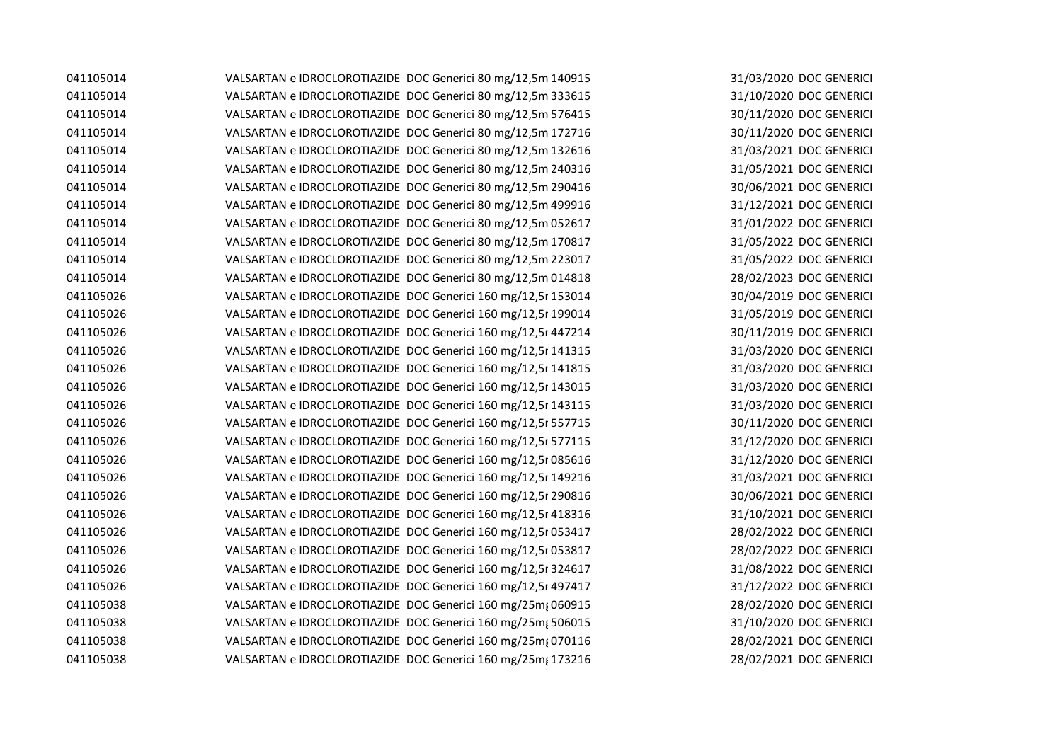| 041105014 | VALSARTAN e IDROCLOROTIAZIDE DOC Generici 80 mg/12,5m 140915  |
|-----------|---------------------------------------------------------------|
| 041105014 | VALSARTAN e IDROCLOROTIAZIDE DOC Generici 80 mg/12,5m 333615  |
| 041105014 | VALSARTAN e IDROCLOROTIAZIDE DOC Generici 80 mg/12,5m 576415  |
| 041105014 | VALSARTAN e IDROCLOROTIAZIDE DOC Generici 80 mg/12,5m 172716  |
| 041105014 | VALSARTAN e IDROCLOROTIAZIDE DOC Generici 80 mg/12,5m 132616  |
| 041105014 | VALSARTAN e IDROCLOROTIAZIDE DOC Generici 80 mg/12,5m 240316  |
| 041105014 | VALSARTAN e IDROCLOROTIAZIDE DOC Generici 80 mg/12,5m 290416  |
| 041105014 | VALSARTAN e IDROCLOROTIAZIDE DOC Generici 80 mg/12,5m 499916  |
| 041105014 | VALSARTAN e IDROCLOROTIAZIDE DOC Generici 80 mg/12,5m 052617  |
| 041105014 | VALSARTAN e IDROCLOROTIAZIDE DOC Generici 80 mg/12,5m 170817  |
| 041105014 | VALSARTAN e IDROCLOROTIAZIDE DOC Generici 80 mg/12,5m 223017  |
| 041105014 | VALSARTAN e IDROCLOROTIAZIDE DOC Generici 80 mg/12,5m 014818  |
| 041105026 | VALSARTAN e IDROCLOROTIAZIDE DOC Generici 160 mg/12,5r 153014 |
| 041105026 | VALSARTAN e IDROCLOROTIAZIDE DOC Generici 160 mg/12,5r 199014 |
| 041105026 | VALSARTAN e IDROCLOROTIAZIDE DOC Generici 160 mg/12,5r 447214 |
| 041105026 | VALSARTAN e IDROCLOROTIAZIDE DOC Generici 160 mg/12,5r 141315 |
| 041105026 | VALSARTAN e IDROCLOROTIAZIDE DOC Generici 160 mg/12,5r 141815 |
| 041105026 | VALSARTAN e IDROCLOROTIAZIDE DOC Generici 160 mg/12,5r 143015 |
| 041105026 | VALSARTAN e IDROCLOROTIAZIDE DOC Generici 160 mg/12,5r 143115 |
| 041105026 | VALSARTAN e IDROCLOROTIAZIDE DOC Generici 160 mg/12,5r 557715 |
| 041105026 | VALSARTAN e IDROCLOROTIAZIDE DOC Generici 160 mg/12,5r 577115 |
| 041105026 | VALSARTAN e IDROCLOROTIAZIDE DOC Generici 160 mg/12,5r 085616 |
| 041105026 | VALSARTAN e IDROCLOROTIAZIDE DOC Generici 160 mg/12,5r 149216 |
| 041105026 | VALSARTAN e IDROCLOROTIAZIDE DOC Generici 160 mg/12,5r 290816 |
| 041105026 | VALSARTAN e IDROCLOROTIAZIDE DOC Generici 160 mg/12,5r 418316 |
| 041105026 | VALSARTAN e IDROCLOROTIAZIDE DOC Generici 160 mg/12,5r 053417 |
| 041105026 | VALSARTAN e IDROCLOROTIAZIDE DOC Generici 160 mg/12,5r 053817 |
| 041105026 | VALSARTAN e IDROCLOROTIAZIDE DOC Generici 160 mg/12,5r 324617 |
| 041105026 | VALSARTAN e IDROCLOROTIAZIDE DOC Generici 160 mg/12,5r 497417 |
| 041105038 | VALSARTAN e IDROCLOROTIAZIDE DOC Generici 160 mg/25m{060915   |
| 041105038 | VALSARTAN e IDROCLOROTIAZIDE DOC Generici 160 mg/25m; 506015  |
| 041105038 | VALSARTAN e IDROCLOROTIAZIDE DOC Generici 160 mg/25m; 070116  |
| 041105038 | VALSARTAN e IDROCLOROTIAZIDE DOC Generici 160 mg/25m; 173216  |

31/03/2020 DOC GENERICI 31/10/2020 DOC GENERICI 30/11/2020 DOC GENERICI 30/11/2020 DOC GENERICI 31/03/2021 DOC GENERICI 31/05/2021 DOC GENERICI 30/06/2021 DOC GENERICI 31/12/2021 DOC GENERICI 31/01/2022 DOC GENERICI 31/05/2022 DOC GENERICI 31/05/2022 DOC GENERICI 28/02/2023 DOC GENERICI 30/04/2019 DOC GENERICI 31/05/2019 DOC GENERICI 30/11/2019 DOC GENERICI 31/03/2020 DOC GENERICI 31/03/2020 DOC GENERICI 31/03/2020 DOC GENERICI 31/03/2020 DOC GENERICI 30/11/2020 DOC GENERICI 31/12/2020 DOC GENERICI 31/12/2020 DOC GENERICI 31/03/2021 DOC GENERICI 30/06/2021 DOC GENERICI 31/10/2021 DOC GENERICI 28/02/2022 DOC GENERICI 28/02/2022 DOC GENERICI 31/08/2022 DOC GENERICI 31/12/2022 DOC GENERICI 28/02/2020 DOC GENERICI 31/10/2020 DOC GENERICI 28/02/2021 DOC GENERICI 28/02/2021 DOC GENERICI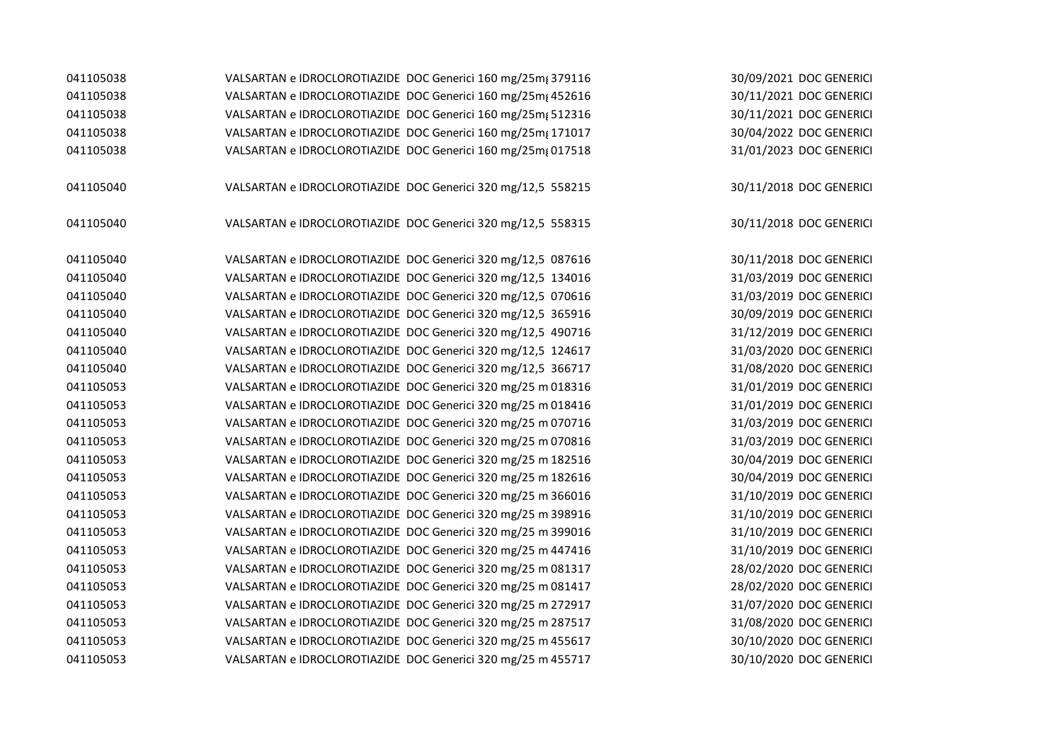| 041105038 | VALSARTAN e IDROCLOROTIAZIDE DOC Generici 160 mg/25m; 379116                                                                 | 30/09/2021 DOC GENERICI                            |
|-----------|------------------------------------------------------------------------------------------------------------------------------|----------------------------------------------------|
| 041105038 | VALSARTAN e IDROCLOROTIAZIDE DOC Generici 160 mg/25m; 452616                                                                 | 30/11/2021 DOC GENERICI                            |
| 041105038 | VALSARTAN e IDROCLOROTIAZIDE DOC Generici 160 mg/25m; 512316                                                                 | 30/11/2021 DOC GENERICI                            |
| 041105038 | VALSARTAN e IDROCLOROTIAZIDE DOC Generici 160 mg/25mg 171017                                                                 | 30/04/2022 DOC GENERICI                            |
| 041105038 | VALSARTAN e IDROCLOROTIAZIDE DOC Generici 160 mg/25mg 017518                                                                 | 31/01/2023 DOC GENERICI                            |
|           |                                                                                                                              |                                                    |
| 041105040 | VALSARTAN e IDROCLOROTIAZIDE DOC Generici 320 mg/12,5 558215                                                                 | 30/11/2018 DOC GENERICI                            |
|           |                                                                                                                              |                                                    |
| 041105040 | VALSARTAN e IDROCLOROTIAZIDE DOC Generici 320 mg/12,5 558315                                                                 | 30/11/2018 DOC GENERICI                            |
| 041105040 |                                                                                                                              |                                                    |
| 041105040 | VALSARTAN e IDROCLOROTIAZIDE DOC Generici 320 mg/12,5 087616<br>VALSARTAN e IDROCLOROTIAZIDE DOC Generici 320 mg/12,5 134016 | 30/11/2018 DOC GENERICI<br>31/03/2019 DOC GENERICI |
| 041105040 | VALSARTAN e IDROCLOROTIAZIDE DOC Generici 320 mg/12,5 070616                                                                 | 31/03/2019 DOC GENERICI                            |
| 041105040 |                                                                                                                              |                                                    |
| 041105040 | VALSARTAN e IDROCLOROTIAZIDE DOC Generici 320 mg/12,5 365916                                                                 | 30/09/2019 DOC GENERICI                            |
| 041105040 | VALSARTAN e IDROCLOROTIAZIDE DOC Generici 320 mg/12,5 490716                                                                 | 31/12/2019 DOC GENERICI                            |
|           | VALSARTAN e IDROCLOROTIAZIDE DOC Generici 320 mg/12,5 124617                                                                 | 31/03/2020 DOC GENERICI                            |
| 041105040 | VALSARTAN e IDROCLOROTIAZIDE DOC Generici 320 mg/12,5 366717                                                                 | 31/08/2020 DOC GENERICI                            |
| 041105053 | VALSARTAN e IDROCLOROTIAZIDE DOC Generici 320 mg/25 m 018316                                                                 | 31/01/2019 DOC GENERICI                            |
| 041105053 | VALSARTAN e IDROCLOROTIAZIDE DOC Generici 320 mg/25 m 018416                                                                 | 31/01/2019 DOC GENERICI                            |
| 041105053 | VALSARTAN e IDROCLOROTIAZIDE DOC Generici 320 mg/25 m 070716                                                                 | 31/03/2019 DOC GENERICI                            |
| 041105053 | VALSARTAN e IDROCLOROTIAZIDE DOC Generici 320 mg/25 m 070816                                                                 | 31/03/2019 DOC GENERICI                            |
| 041105053 | VALSARTAN e IDROCLOROTIAZIDE DOC Generici 320 mg/25 m 182516                                                                 | 30/04/2019 DOC GENERICI                            |
| 041105053 | VALSARTAN e IDROCLOROTIAZIDE DOC Generici 320 mg/25 m 182616                                                                 | 30/04/2019 DOC GENERICI                            |
| 041105053 | VALSARTAN e IDROCLOROTIAZIDE DOC Generici 320 mg/25 m 366016                                                                 | 31/10/2019 DOC GENERICI                            |
| 041105053 | VALSARTAN e IDROCLOROTIAZIDE DOC Generici 320 mg/25 m 398916                                                                 | 31/10/2019 DOC GENERICI                            |
| 041105053 | VALSARTAN e IDROCLOROTIAZIDE DOC Generici 320 mg/25 m 399016                                                                 | 31/10/2019 DOC GENERICI                            |
| 041105053 | VALSARTAN e IDROCLOROTIAZIDE DOC Generici 320 mg/25 m 447416                                                                 | 31/10/2019 DOC GENERICI                            |
| 041105053 | VALSARTAN e IDROCLOROTIAZIDE DOC Generici 320 mg/25 m 081317                                                                 | 28/02/2020 DOC GENERICI                            |
| 041105053 | VALSARTAN e IDROCLOROTIAZIDE DOC Generici 320 mg/25 m 081417                                                                 | 28/02/2020 DOC GENERICI                            |
| 041105053 | VALSARTAN e IDROCLOROTIAZIDE DOC Generici 320 mg/25 m 272917                                                                 | 31/07/2020 DOC GENERICI                            |
| 041105053 | VALSARTAN e IDROCLOROTIAZIDE DOC Generici 320 mg/25 m 287517                                                                 | 31/08/2020 DOC GENERICI                            |
| 041105053 | VALSARTAN e IDROCLOROTIAZIDE DOC Generici 320 mg/25 m 455617                                                                 | 30/10/2020 DOC GENERICI                            |
| 041105053 | VALSARTAN e IDROCLOROTIAZIDE DOC Generici 320 mg/25 m 455717                                                                 | 30/10/2020 DOC GENERICI                            |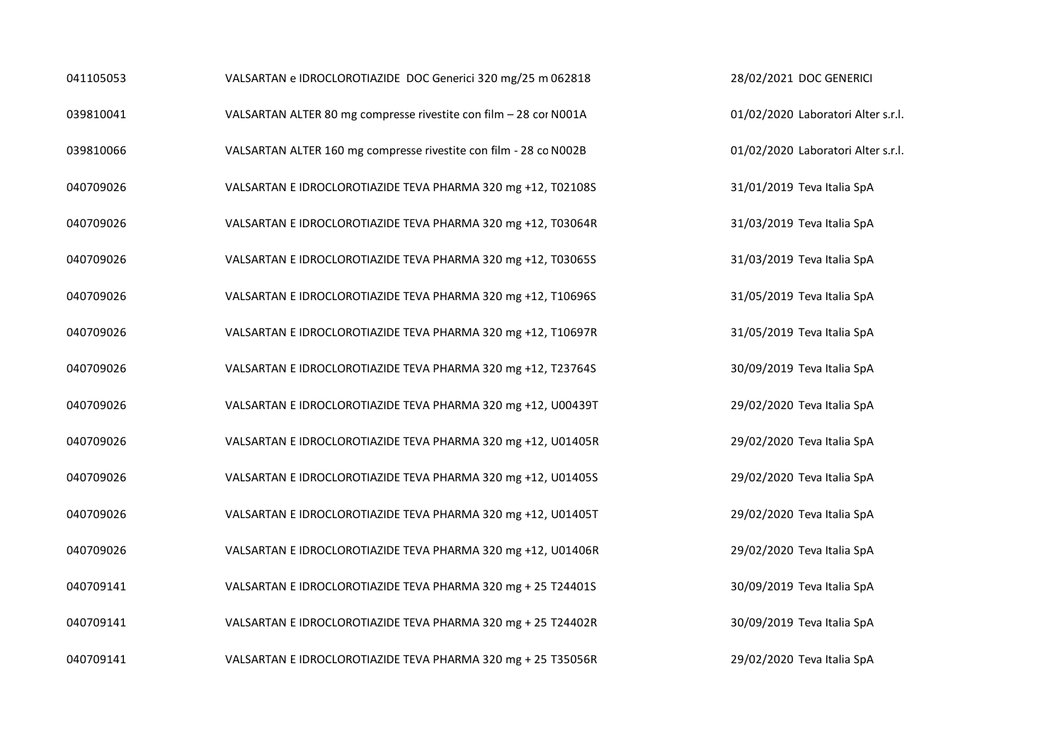| 041105053 | VALSARTAN e IDROCLOROTIAZIDE DOC Generici 320 mg/25 m 062818      | 28/02/2021 DOC GENERICI            |
|-----------|-------------------------------------------------------------------|------------------------------------|
| 039810041 | VALSARTAN ALTER 80 mg compresse rivestite con film - 28 cor N001A | 01/02/2020 Laboratori Alter s.r.l. |
| 039810066 | VALSARTAN ALTER 160 mg compresse rivestite con film - 28 co N002B | 01/02/2020 Laboratori Alter s.r.l. |
| 040709026 | VALSARTAN E IDROCLOROTIAZIDE TEVA PHARMA 320 mg +12, T02108S      | 31/01/2019 Teva Italia SpA         |
| 040709026 | VALSARTAN E IDROCLOROTIAZIDE TEVA PHARMA 320 mg +12, T03064R      | 31/03/2019 Teva Italia SpA         |
| 040709026 | VALSARTAN E IDROCLOROTIAZIDE TEVA PHARMA 320 mg +12, T03065S      | 31/03/2019 Teva Italia SpA         |
| 040709026 | VALSARTAN E IDROCLOROTIAZIDE TEVA PHARMA 320 mg +12, T10696S      | 31/05/2019 Teva Italia SpA         |
| 040709026 | VALSARTAN E IDROCLOROTIAZIDE TEVA PHARMA 320 mg +12, T10697R      | 31/05/2019 Teva Italia SpA         |
| 040709026 | VALSARTAN E IDROCLOROTIAZIDE TEVA PHARMA 320 mg +12, T23764S      | 30/09/2019 Teva Italia SpA         |
| 040709026 | VALSARTAN E IDROCLOROTIAZIDE TEVA PHARMA 320 mg +12, U00439T      | 29/02/2020 Teva Italia SpA         |
| 040709026 | VALSARTAN E IDROCLOROTIAZIDE TEVA PHARMA 320 mg +12, U01405R      | 29/02/2020 Teva Italia SpA         |
| 040709026 | VALSARTAN E IDROCLOROTIAZIDE TEVA PHARMA 320 mg +12, U01405S      | 29/02/2020 Teva Italia SpA         |
| 040709026 | VALSARTAN E IDROCLOROTIAZIDE TEVA PHARMA 320 mg +12, U01405T      | 29/02/2020 Teva Italia SpA         |
| 040709026 | VALSARTAN E IDROCLOROTIAZIDE TEVA PHARMA 320 mg +12, U01406R      | 29/02/2020 Teva Italia SpA         |
| 040709141 | VALSARTAN E IDROCLOROTIAZIDE TEVA PHARMA 320 mg + 25 T24401S      | 30/09/2019 Teva Italia SpA         |
| 040709141 | VALSARTAN E IDROCLOROTIAZIDE TEVA PHARMA 320 mg + 25 T24402R      | 30/09/2019 Teva Italia SpA         |
| 040709141 | VALSARTAN E IDROCLOROTIAZIDE TEVA PHARMA 320 mg + 25 T35056R      | 29/02/2020 Teva Italia SpA         |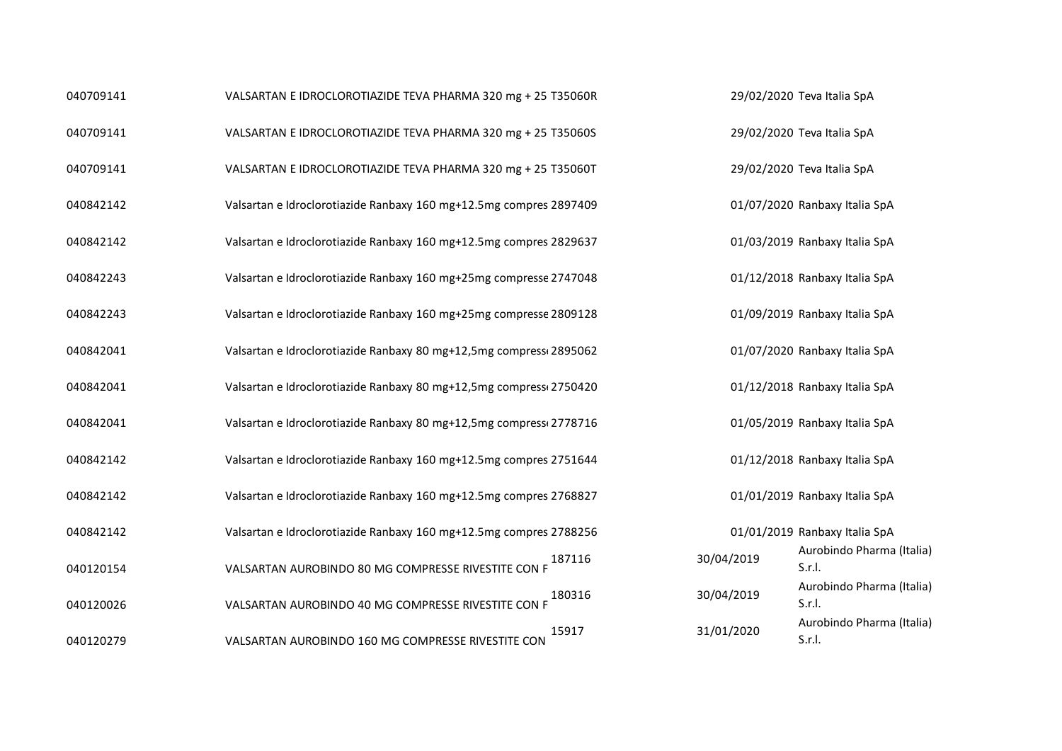| 040709141 | VALSARTAN E IDROCLOROTIAZIDE TEVA PHARMA 320 mg + 25 T35060R       |            | 29/02/2020 Teva Italia SpA          |
|-----------|--------------------------------------------------------------------|------------|-------------------------------------|
| 040709141 | VALSARTAN E IDROCLOROTIAZIDE TEVA PHARMA 320 mg + 25 T35060S       |            | 29/02/2020 Teva Italia SpA          |
| 040709141 | VALSARTAN E IDROCLOROTIAZIDE TEVA PHARMA 320 mg + 25 T35060T       |            | 29/02/2020 Teva Italia SpA          |
| 040842142 | Valsartan e Idroclorotiazide Ranbaxy 160 mg+12.5mg compres 2897409 |            | 01/07/2020 Ranbaxy Italia SpA       |
| 040842142 | Valsartan e Idroclorotiazide Ranbaxy 160 mg+12.5mg compres 2829637 |            | 01/03/2019 Ranbaxy Italia SpA       |
| 040842243 | Valsartan e Idroclorotiazide Ranbaxy 160 mg+25mg compresse 2747048 |            | 01/12/2018 Ranbaxy Italia SpA       |
| 040842243 | Valsartan e Idroclorotiazide Ranbaxy 160 mg+25mg compresse 2809128 |            | 01/09/2019 Ranbaxy Italia SpA       |
| 040842041 | Valsartan e Idroclorotiazide Ranbaxy 80 mg+12,5mg compress 2895062 |            | 01/07/2020 Ranbaxy Italia SpA       |
| 040842041 | Valsartan e Idroclorotiazide Ranbaxy 80 mg+12,5mg compress 2750420 |            | 01/12/2018 Ranbaxy Italia SpA       |
| 040842041 | Valsartan e Idroclorotiazide Ranbaxy 80 mg+12,5mg compress 2778716 |            | 01/05/2019 Ranbaxy Italia SpA       |
| 040842142 | Valsartan e Idroclorotiazide Ranbaxy 160 mg+12.5mg compres 2751644 |            | 01/12/2018 Ranbaxy Italia SpA       |
| 040842142 | Valsartan e Idroclorotiazide Ranbaxy 160 mg+12.5mg compres 2768827 |            | 01/01/2019 Ranbaxy Italia SpA       |
| 040842142 | Valsartan e Idroclorotiazide Ranbaxy 160 mg+12.5mg compres 2788256 |            | 01/01/2019 Ranbaxy Italia SpA       |
| 040120154 | 187116<br>VALSARTAN AUROBINDO 80 MG COMPRESSE RIVESTITE CON F      | 30/04/2019 | Aurobindo Pharma (Italia)<br>S.r.l. |
| 040120026 | 180316<br>VALSARTAN AUROBINDO 40 MG COMPRESSE RIVESTITE CON F      | 30/04/2019 | Aurobindo Pharma (Italia)<br>S.r.I. |
| 040120279 | 15917<br>VALSARTAN AUROBINDO 160 MG COMPRESSE RIVESTITE CON        | 31/01/2020 | Aurobindo Pharma (Italia)<br>S.r.I. |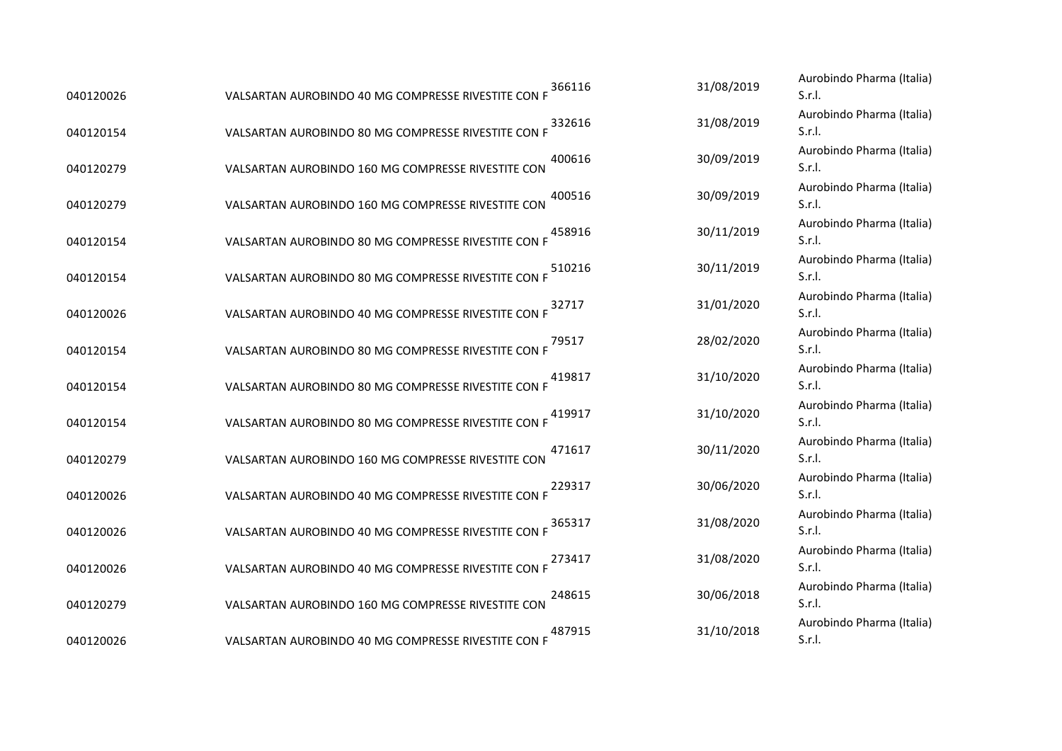| VALSARTAN AUROBINDO 40 MG COMPRESSE RIVESTITE CON I |                                                                                                                                                            | Aurobindo Pharma (Italia)<br>S.r.I.                                                                                                                                                              |
|-----------------------------------------------------|------------------------------------------------------------------------------------------------------------------------------------------------------------|--------------------------------------------------------------------------------------------------------------------------------------------------------------------------------------------------|
| VALSARTAN AUROBINDO 80 MG COMPRESSE RIVESTITE CON F |                                                                                                                                                            | Aurobindo Pharma (Italia)<br>S.r.I.                                                                                                                                                              |
| VALSARTAN AUROBINDO 160 MG COMPRESSE RIVESTITE CON  |                                                                                                                                                            | Aurobindo Pharma (Italia)<br>S.r.I.                                                                                                                                                              |
| VALSARTAN AUROBINDO 160 MG COMPRESSE RIVESTITE CON  |                                                                                                                                                            | Aurobindo Pharma (Italia)<br>S.r.I.                                                                                                                                                              |
| VALSARTAN AUROBINDO 80 MG COMPRESSE RIVESTITE CON F |                                                                                                                                                            | Aurobindo Pharma (Italia)<br>S.r.I.                                                                                                                                                              |
| VALSARTAN AUROBINDO 80 MG COMPRESSE RIVESTITE CON F |                                                                                                                                                            | Aurobindo Pharma (Italia)<br>S.r.I.                                                                                                                                                              |
| VALSARTAN AUROBINDO 40 MG COMPRESSE RIVESTITE CON F |                                                                                                                                                            | Aurobindo Pharma (Italia)<br>S.r.I.                                                                                                                                                              |
| VALSARTAN AUROBINDO 80 MG COMPRESSE RIVESTITE CON F |                                                                                                                                                            | Aurobindo Pharma (Italia)<br>S.r.I.                                                                                                                                                              |
| VALSARTAN AUROBINDO 80 MG COMPRESSE RIVESTITE CON F |                                                                                                                                                            | Aurobindo Pharma (Italia)<br>S.r.I.                                                                                                                                                              |
| VALSARTAN AUROBINDO 80 MG COMPRESSE RIVESTITE CON F |                                                                                                                                                            | Aurobindo Pharma (Italia)<br>S.r.I.                                                                                                                                                              |
| VALSARTAN AUROBINDO 160 MG COMPRESSE RIVESTITE CON  | 30/11/2020                                                                                                                                                 | Aurobindo Pharma (Italia)<br>S.r.I.                                                                                                                                                              |
| VALSARTAN AUROBINDO 40 MG COMPRESSE RIVESTITE CON F |                                                                                                                                                            | Aurobindo Pharma (Italia)<br>S.r.I.                                                                                                                                                              |
| VALSARTAN AUROBINDO 40 MG COMPRESSE RIVESTITE CON F | 31/08/2020                                                                                                                                                 | Aurobindo Pharma (Italia)<br>S.r.I.                                                                                                                                                              |
| VALSARTAN AUROBINDO 40 MG COMPRESSE RIVESTITE CON F |                                                                                                                                                            | Aurobindo Pharma (Italia)<br>S.r.I.                                                                                                                                                              |
| VALSARTAN AUROBINDO 160 MG COMPRESSE RIVESTITE CON  |                                                                                                                                                            | Aurobindo Pharma (Italia)<br>S.r.I.                                                                                                                                                              |
| VALSARTAN AUROBINDO 40 MG COMPRESSE RIVESTITE CON F |                                                                                                                                                            | Aurobindo Pharma (Italia)<br>S.r.l.                                                                                                                                                              |
|                                                     | 366116<br>332616<br>400616<br>400516<br>458916<br>510216<br>32717<br>79517<br>419817<br>419917<br>471617<br>229317<br>365317<br>273417<br>248615<br>487915 | 31/08/2019<br>31/08/2019<br>30/09/2019<br>30/09/2019<br>30/11/2019<br>30/11/2019<br>31/01/2020<br>28/02/2020<br>31/10/2020<br>31/10/2020<br>30/06/2020<br>31/08/2020<br>30/06/2018<br>31/10/2018 |